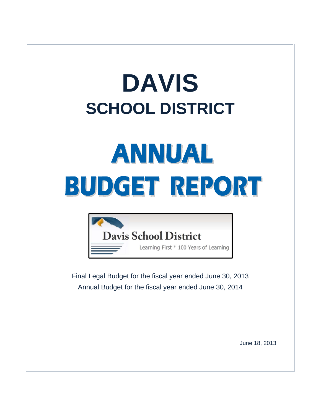# **DAVIS SCHOOL DISTRICT**

# ANNUAL **BUDGET REPORT**



Final Legal Budget for the fiscal year ended June 30, 2013 Annual Budget for the fiscal year ended June 30, 2014

June 18, 2013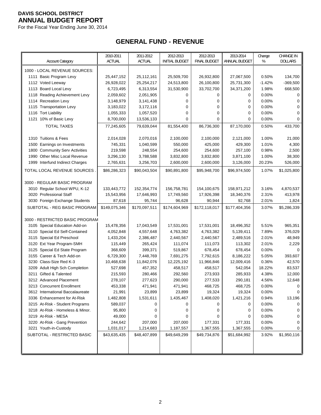For the Fiscal Year Ending June 30, 2014

# **GENERAL FUND - REVENUE**

| <b>Account Category</b>          | 2010-2011<br><b>ACTUAL</b> | 2011-2012<br>ACTUAL | 2012-2013<br><b>INITIAL BUDGET</b> | 2012-2013<br><b>FINAL BUDGET</b> | 2013-2014<br>ANNUAL BUDGET | Change<br>% | <b>CHANGE IN</b><br><b>DOLLARS</b> |
|----------------------------------|----------------------------|---------------------|------------------------------------|----------------------------------|----------------------------|-------------|------------------------------------|
| 1000 - LOCAL REVENUE SOURCES:    |                            |                     |                                    |                                  |                            |             |                                    |
| 1111 Basic Program Levy          | 25,447,152                 | 25,112,161          | 25,509,700                         | 26,932,800                       | 27,067,500                 | 0.50%       | 134,700                            |
| 1112 Voted Leeway                | 26,928,022                 | 25,254,217          | 24,513,800                         | 26,100,800                       | 25,731,300                 | $-1.42%$    | $-369,500$                         |
| 1113 Board Local Levy            | 6,723,495                  | 6,313,554           | 31,530,900                         | 33,702,700                       | 34,371,200                 | 1.98%       | 668,500                            |
| 1118 Reading Achievement Levy    | 2,059,602                  | 2,051,905           | 0                                  | 0                                | 0                          | 0.00%       | 0                                  |
| 1114 Recreation Levy             | 3,148,979                  | 3,141,438           | 0                                  | 0                                | 0                          | 0.00%       | 0                                  |
| 1115 Transportation Levy         | 3,183,022                  | 3,172,116           | 0                                  | 0                                | 0                          | 0.00%       | 0                                  |
| 1116 Tort Liability              | 1,055,333                  | 1,057,520           | 0                                  | 0                                | 0                          | 0.00%       | $\mathbf 0$                        |
| 1121 10% of Basic Levy           | 8,700,000                  | 13,536,133          | 0                                  | 0                                | $\mathbf 0$                | 0.00%       | $\mathbf 0$                        |
| <b>TOTAL TAXES</b>               | 77,245,605                 | 79,639,044          | 81,554,400                         | 86,736,300                       | 87,170,000                 | 0.50%       | 433,700                            |
|                                  |                            |                     |                                    |                                  |                            |             |                                    |
| 1310 Tuitions & Fees             | 2,014,028                  | 2,070,016           | 2,100,000                          | 2,100,000                        | 2,121,000                  | 1.00%       | 21,000                             |
| 1500 Earnings on Investments     | 745,331                    | 1,040,599           | 550,000                            | 425,000                          | 429,300                    | 1.01%       | 4,300                              |
| 1800 Community Serv Activities   | 219,598                    | 248,554             | 254,600                            | 254,600                          | 257,100                    | 0.98%       | 2,500                              |
| 1990 Other Misc Local Revenue    | 3,296,130                  | 3,788,588           | 3,832,800                          | 3,832,800                        | 3,871,100                  | 1.00%       | 38,300                             |
| 1999 Interfund Indirect Charges  | 2,765,631                  | 3,256,703           | 2,600,000                          | 2,600,000                        | 3,126,000                  | 20.23%      | 526,000                            |
| TOTAL LOCAL REVENUE SOURCES.     | \$86,286,323               | \$90,043,504        | \$90,891,800                       | \$95,948,700                     | \$96,974,500               | 1.07%       | \$1,025,800                        |
| 3000 - REGULAR BASIC PROGRAM     |                            |                     |                                    |                                  |                            |             |                                    |
| 3010 Regular School WPU, K-12    | 133,443,772                | 152,354,774         | 156,758,781                        | 154,100,675                      | 158,971,212                | 3.16%       | 4,870,537                          |
| 3020 Professional Staff          | 15,543,956                 | 17,646,993          | 17,749,560                         | 17,926,398                       | 18,340,376                 | 2.31%       | 413,978                            |
| 3030 Foreign Exchange Students   | 87,618                     | 95,744              | 96,628                             | 90,944                           | 92,768                     | 2.01%       | 1,824                              |
| SUBTOTAL - REG BASIC PROGRAM     | \$149,075,346              | \$170,097,511       | \$174,604,969                      | \$172,118,017                    | \$177,404,356              | 3.07%       | \$5,286,339                        |
| 3000 - RESTRICTED BASIC PROGRAM  |                            |                     |                                    |                                  |                            |             |                                    |
| 3105 Special Education Add-on    | 15,478,356                 | 17,043,549          | 17,531,001                         | 17,531,001                       | 18,496,352                 | 5.51%       | 965,351                            |
| 3110 Special Ed Self-Contained   | 4,052,848                  | 4,557,648           | 4,763,382                          | 4,763,382                        | 5,139,411                  | 7.89%       | 376,029                            |
| 3115 Special Ed Preschool        | 1,433,204                  | 2,386,487           | 2,440,567                          | 2,440,567                        | 2,489,516                  | 2.01%       | 48,949                             |
| 3120 Ext Year Program-SMH        | 115,449                    | 265,424             | 111,074                            | 111,073                          | 113,302                    | 2.01%       | 2,229                              |
| 3125 Special Ed State Program    | 368,609                    | 399,371             | 519,867                            | 678,454                          | 678,454                    | $0.00\%$    | 0                                  |
| 3155 Career & Tech Add-on        | 6,729,300                  | 7,448,769           | 7,691,275                          | 7,792,615                        | 8,186,222                  | 5.05%       | 393,607                            |
| 3230 Class-Size Red K-3          | 10,468,638                 | 11,842,076          | 12,225,192                         | 11,966,846                       | 12,009,416                 | 0.36%       | 42,570                             |
| 3209 Adult High Sch Completion   | 527,698                    | 457,352             | 458,517                            | 458,517                          | 542,054                    | 18.22%      | 83,537                             |
| 3211 Gifted & Talented           | 215,593                    | 280,466             | 292,560                            | 273,933                          | 285,933                    | 4.38%       | 12,000                             |
| 3212 Advanced Placement          | 278,107                    | 277,623             | 290,000                            | 277,533                          | 290,181                    | 4.56%       | 12,648                             |
| 3213 Concurrent Enrollment       | 453,338                    | 471,941             | 471,941                            | 468,725                          | 468,725                    | 0.00%       | $\Omega$                           |
| 3612 International Baccalaureate | 21,991                     | 23,899              | 23,899                             | 19,324                           | 19,324                     | $0.00\%$    | 0                                  |
| 3336 Enhancement for At-Risk     | 1,482,808                  | 1,531,611           | 1,435,467                          | 1,408,020                        | 1,421,216                  | 0.94%       | 13,196                             |
| 3215 At-Risk - Student Programs  | 589,037                    | 0                   | 0                                  | 0                                | 0                          | 0.00%       | 0                                  |
| 3218 At-Risk - Homeless & Minor. | 95,800                     | 0                   | 0                                  | 0                                | 0                          | $0.00\%$    | 0                                  |
| 3219 At-Risk - MESA              | 49,000                     | 0                   | 0                                  | 0                                | 0                          | $0.00\%$    |                                    |
| 3220 At-Risk - Gang Prevention   | 244,642                    | 207,000             | 207,000                            | 177,331                          | 177,331                    | 0.00%       | 0                                  |
| 3221 Youth-in-Custody            | 1,031,017                  | 1,214,683           | 1,187,557                          | 1,367,555                        | 1,367,555                  | 0.00%       | 0                                  |
| SUBTOTAL - RESTRICTED BASIC      | \$43,635,435               | \$48,407,899        | \$49,649,299                       | \$49,734,876                     | \$51,684,992               | 3.92%       | \$1,950,116                        |
|                                  |                            |                     |                                    |                                  |                            |             |                                    |
|                                  |                            |                     |                                    |                                  |                            |             |                                    |
|                                  |                            |                     |                                    |                                  |                            |             |                                    |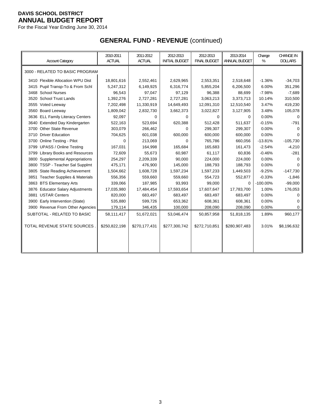For the Fiscal Year Ending June 30, 2014

# **GENERAL FUND - REVENUE** (continued)

| <b>Account Category</b>                  | 2010-2011<br><b>ACTUAL</b> | 2011-2012<br><b>ACTUAL</b> | 2012-2013<br><b>INITIAL BUDGET</b> | 2012-2013<br><b>FINAL BUDGET</b> | 2013-2014<br>ANNUAL BUDGET | Change<br>% | <b>CHANGE IN</b><br><b>DOLLARS</b> |
|------------------------------------------|----------------------------|----------------------------|------------------------------------|----------------------------------|----------------------------|-------------|------------------------------------|
| 3000 - RELATED TO BASIC PROGRAM          |                            |                            |                                    |                                  |                            |             |                                    |
| 3410 Flexible Allocation WPU Dist        | 18,801,616                 | 2,552,461                  | 2,629,965                          | 2,553,351                        | 2,518,648                  | $-1.36%$    | $-34,703$                          |
| 3415 Pupil Transp-To & From Schl         | 5,247,312                  | 6,149,925                  | 6,316,774                          | 5,855,204                        | 6,206,500                  | 6.00%       | 351,296                            |
| 3468 School Nurses                       | 96,543                     | 97,047                     | 97,129                             | 96,388                           | 88,699                     | $-7.98%$    | $-7,689$                           |
| 3520 School Trust Lands                  | 1,392,276                  | 2,727,281                  | 2,727,281                          | 3,063,213                        | 3,373,713                  | 10.14%      | 310,500                            |
| 3555 Voted Leeway                        | 7,202,498                  | 11,330,919                 | 14,649,493                         | 12,091,310                       | 12,510,540                 | 3.47%       | 419,230                            |
| 3560 Board Leeway                        | 1,809,042                  | 2,832,730                  | 3,662,373                          | 3,022,827                        | 3,127,905                  | 3.48%       | 105,078                            |
| 3636 ELL Family Literacy Centers         | 92,097                     | 0                          | 0                                  | 0                                | 0                          | 0.00%       | 0                                  |
| 3640 Extended Day Kindergarten           | 522,163                    | 523,694                    | 620,388                            | 512,428                          | 511.637                    | $-0.15%$    | $-791$                             |
| <b>Other State Revenue</b><br>3700       | 303,079                    | 266,462                    | 0                                  | 299,307                          | 299,307                    | 0.00%       | 0                                  |
| 3710 Driver Education                    | 704,625                    | 601,038                    | 600,000                            | 600,000                          | 600,000                    | 0.00%       | 0                                  |
| 3700 Online Testing - Pilot              | $\Omega$                   | 213,069                    | U                                  | 765,786                          | 660,056                    | $-13.81%$   | $-105,730$                         |
| 3799 UPASS / Online Testing              | 167,031                    | 164,998                    | 165,684                            | 165,683                          | 161,473                    | $-2.54%$    | $-4,210$                           |
| 3799 Library Books and Resources         | 72.609                     | 55,673                     | 60,987                             | 61,117                           | 60,836                     | $-0.46%$    | $-281$                             |
| 3800 Supplemental Appropriations         | 254,297                    | 2,209,339                  | 90,000                             | 224,000                          | 224,000                    | $0.00\%$    | 0                                  |
| 3800 TSSP - Teacher Sal Supplmt          | 475,171                    | 476,900                    | 145,000                            | 188,793                          | 188,793                    | 0.00%       | 0                                  |
| <b>State Reading Achievement</b><br>3805 | 1,504,662                  | 1,608,728                  | 1,597,234                          | 1,597,233                        | 1,449,503                  | $-9.25%$    | $-147,730$                         |
| 3851 Teacher Supplies & Materials        | 556,356                    | 559,660                    | 559,660                            | 554,723                          | 552,877                    | $-0.33%$    | $-1,846$                           |
| 3863 BTS Elementary Arts                 | 339,066                    | 187,985                    | 93,993                             | 99,000                           | 0                          | $-100.00\%$ | $-99,000$                          |
| 3876 Educator Salary Adjustments         | 17,035,980                 | 17,484,454                 | 17,593,654                         | 17,607,647                       | 17,783,700                 | 1.00%       | 176,053                            |
| 3881 USTAR Centers                       | 820,000                    | 683,497                    | 683,497                            | 683,497                          | 683,497                    | 0.00%       | 0                                  |
| 3900 Early Intervention (State)          | 535,880                    | 599,726                    | 653,362                            | 608,361                          | 608,361                    | 0.00%       | 0                                  |
| 3900 Revenue From Other Agencies         | 179,114                    | 346,435                    | 100,000                            | 208,090                          | 208,090                    | 0.00%       | $\Omega$                           |
| SUBTOTAL - RELATED TO BASIC              | 58,111,417                 | 51,672,021                 | 53,046,474                         | 50,857,958                       | 51,818,135                 | 1.89%       | 960,177                            |
| TOTAL REVENUE STATE SOURCES.             | \$250,822,198              | \$270,177,431              | \$277,300,742                      | \$272,710,851                    | \$280,907,483              | 3.01%       | \$8,196,632                        |
|                                          |                            |                            |                                    |                                  |                            |             |                                    |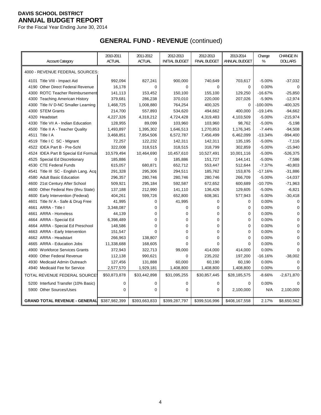For the Fiscal Year Ending June 30, 2014

# **GENERAL FUND - REVENUE** (continued)

| <b>Account Category</b>               | 2010-2011<br><b>ACTUAL</b> | 2011-2012<br><b>ACTUAL</b> | 2012-2013<br><b>INITIAL BUDGET</b> | 2012-2013<br><b>FINAL BUDGET</b> | 2013-2014<br>ANNUAL BUDGET | Change<br>% | <b>CHANGE IN</b><br><b>DOLLARS</b> |
|---------------------------------------|----------------------------|----------------------------|------------------------------------|----------------------------------|----------------------------|-------------|------------------------------------|
| 4000 - REVENUE FEDERAL SOURCES:       |                            |                            |                                    |                                  |                            |             |                                    |
| 4101 Title VIII - Impact Aid          | 992,094                    | 827,241                    | 900,000                            | 740,649                          | 703,617                    | $-5.00%$    | $-37,032$                          |
| 4190 Other Direct Federal Revenue     | 16,178                     | 0                          | 0                                  | 0                                | 0                          | 0.00%       | $\mathbf 0$                        |
| 4300 ROTC Teacher Reimbursement       | 141,113                    | 153,452                    | 150,100                            | 155,100                          | 129,250                    | $-16.67%$   | $-25,850$                          |
| 4300 Teaching American History        | 379,681                    | 286,238                    | 370,010                            | 220,000                          | 207,026                    | $-5.90%$    | $-12,974$                          |
| 4300 Title IV D-NC Smaller Learning   | 1,468,725                  | 1,008,880                  | 764,254                            | 400,325                          | 0                          | $-100.00\%$ | $-400,325$                         |
| 4300 STEM Grants                      | 214,700                    | 557,893                    | 534,620                            | 494,662                          | 400,000                    | $-19.14%$   | $-94,662$                          |
| 4320 Headstart                        | 4,227,326                  | 4,318,212                  | 4,724,428                          | 4,319,483                        | 4,103,509                  | $-5.00%$    | $-215,974$                         |
| 4330 Title VII A - Indian Education   | 128,955                    | 89,099                     | 103,960                            | 103,960                          | 98,762                     | $-5.00%$    | $-5,198$                           |
| 4500 Title II A - Teacher Quality     | 1,493,897                  | 1,395,302                  | 1,646,513                          | 1,270,853                        | 1,176,345                  | $-7.44%$    | $-94,508$                          |
| 4511 Title   A                        | 3,468,851                  | 7,854,506                  | 6,572,787                          | 7,456,499                        | 6,462,099                  | $-13.34%$   | $-994,400$                         |
| 4519 Title I C SC - Migrant           | 72,257                     | 122,232                    | 142,311                            | 142,311                          | 135,195                    | $-5.00%$    | $-7,116$                           |
| 4522 IDEA Part B - Pre-Schl           | 322,008                    | 318,515                    | 318,515                            | 318,799                          | 302,859                    | $-5.00%$    | $-15,940$                          |
| 4524 IDEA Part B Special Ed Formula   | 10,579,494                 | 10,464,690                 | 10,457,610                         | 10,527,491                       | 10,001,116                 | $-5.00%$    | $-526,375$                         |
| 4525 Special Ed Discretionary         | 185,886                    | $\mathbf 0$                | 185,886                            | 151,727                          | 144,141                    | $-5.00%$    | $-7,586$                           |
| 4530 CTE Federal Funds                | 615,057                    | 680,871                    | 652,712                            | 553,447                          | 512,644                    | $-7.37%$    | $-40,803$                          |
| 4541 Title III SC - English Lang. Acq | 291,328                    | 295,306                    | 294,511                            | 185,762                          | 153,876                    | $-17.16%$   | $-31,886$                          |
| 4580 Adult Basic Education            | 296,357                    | 280,746                    | 280,746                            | 280,746                          | 266,709                    | $-5.00%$    | $-14,037$                          |
| 4600 21st Century After School        | 509,921                    | 295,184                    | 592,587                            | 672,652                          | 600,689                    | $-10.70%$   | $-71,963$                          |
| 4600 Other Federal Rev (thru State)   | 137,188                    | 212,990                    | 141,110                            | 136,426                          | 129,605                    | $-5.00%$    | $-6,821$                           |
| 4600 Early Intervention (Federal)     | 404,261                    | 599,726                    | 652,800                            | 608,361                          | 577,943                    | $-5.00%$    | $-30,418$                          |
| 4601 Title IV A - Safe & Drug Free    | 41,995                     | $\Omega$                   | 41,995                             | 0                                | $\Omega$                   | 0.00%       | $\mathbf 0$                        |
| 4661 ARRA - Title I                   | 3,348,087                  | 0                          | 0                                  | 0                                | 0                          | 0.00%       | 0                                  |
| 4661 ARRA - Homeless                  | 44,139                     | 0                          | 0                                  | 0                                | $\mathbf 0$                | 0.00%       | 0                                  |
| 4664 ARRA - Special Ed                | 6,398,489                  | $\Omega$                   | 0                                  | 0                                | $\mathbf 0$                | 0.00%       | $\mathbf 0$                        |
| 4664 ARRA - Special Ed Preschool      | 148,586                    | $\Omega$                   | 0                                  | 0                                | 0                          | 0.00%       | $\mathbf 0$                        |
| 4663 ARRA - Early Intervention        | 151,547                    | $\Omega$                   | 0                                  | 0                                | $\mathbf 0$                | 0.00%       | $\mathbf 0$                        |
| 4662 ARRA - Headstart                 | 266,963                    | 138,807                    | 0                                  | 0                                | 0                          | 0.00%       | 0                                  |
| 4665 ARRA - Education Jobs            | 11,338,688                 | 168,605                    | 0                                  | $\Omega$                         | 0                          | 0.00%       | $\mathbf 0$                        |
| 4900 Workforce Services Grants        | 372,943                    | 322,713                    | 99,000                             | 414,000                          | 414,000                    | 0.00%       | $\mathbf 0$                        |
| 4900 Other Federal Revenue            | 112,138                    | 990,621                    | 0                                  | 235,202                          | 197,200                    | $-16.16%$   | $-38,002$                          |
| 4930 Medicaid Admin Outreach          | 127,456                    | 131,888                    | 60,000                             | 60,190                           | 60,190                     | 0.00%       | 0                                  |
| 4940 Medicaid Fee for Service         | 2,577,570                  | 1,929,181                  | 1,408,800                          | 1,408,800                        | 1,408,800                  | 0.00%       | $\Omega$                           |
| TOTAL REVENUE FEDERAL SOURCES         | \$50,873,878               | \$33,442,898               | \$31,095,255                       | \$30,857,445                     | \$28,185,575               | $-8.66%$    | $-2,671,870$                       |
| 5200 Interfund Transfer (10% Basic)   | $\overline{0}$             | 0                          | 0                                  | 0                                | $\mathbf 0$                | 0.00%       | $\Omega$                           |
| 5900 Other Sources/Uses               | 0                          | 0                          | 0                                  | 0                                | 2,100,000                  | N/A         | 2,100,000                          |
| <b>GRAND TOTAL REVENUE - GENERAL</b>  | \$387,982,399              | \$393,663,833              | \$399,287,797                      | \$399,516,996                    | \$408,167,558              | 2.17%       | \$8,650,562                        |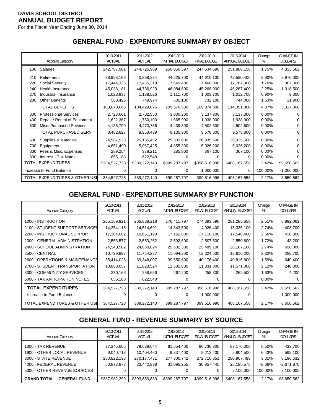For the Fiscal Year Ending June 30, 2014

# **GENERAL FUND - EXPENDITURE SUMMARY BY OBJECT**

|     | <b>Account Category</b>        | 2010-2011<br><b>ACTUAL</b> | 2011-2012<br><b>ACTUAL</b> | 2012-2013<br><b>INITIAL BUDGET</b> | 2012-2013<br><b>FINAL BUDGET</b> | 2013-2014<br><b>ANNUAL BUDGET</b> | Change<br>% | <b>CHANGE IN</b><br><b>DOLLARS</b> |
|-----|--------------------------------|----------------------------|----------------------------|------------------------------------|----------------------------------|-----------------------------------|-------------|------------------------------------|
| 100 | Salaries                       | 242,787,981                | 244,725,989                | 250,050,597                        | 247,534,596                      | 251,868,158                       | 1.75%       | 4,333,562                          |
| 210 | Retirement                     | 38,998,196                 | 40,368,334                 | 44,225,700                         | 44,610,100                       | 48,580,400                        | 8.90%       | 3,970,300                          |
| 220 | Social Security                | 17,444,325                 | 17,435,319                 | 17,649,400                         | 17,460,000                       | 17,767,300                        | 1.76%       | 307,300                            |
| 240 | Health Insurance               | 45,038,181                 | 44,736,923                 | 46,084,600                         | 45,268,900                       | 46,287,400                        | 2.25%       | 1,018,500                          |
| 270 | Industrial Insurance           | 1,023,937                  | 1,138,526                  | 1,111,700                          | 1,003,700                        | 1,012,700                         | 0.90%       | 9,000                              |
| 280 | <b>Other Benefits</b>          | 568,426                    | 749,974                    | 505,100                            | 732,100                          | 744,000                           | 1.63%       | 11,900                             |
|     | <b>TOTAL BENEFITS</b>          | 103,073,065                | 104,429,076                | 109,576,500                        | 109,074,800                      | 114,391,800                       | 4.87%       | 5,317,000                          |
| 300 | <b>Professional Services</b>   | 2,723,661                  | 2,702,550                  | 3,030,200                          | 3,137,300                        | 3,137,300                         | 0.00%       | 0                                  |
| 400 | Repair / Rental of Equipment   | 1,622,367                  | 1,780,103                  | 1,665,900                          | 1,938,900                        | 1,938,900                         | 0.00%       | 0                                  |
| 500 | Misc. Purchased Services       | 4,136,799                  | 4,470,786                  | 4,439,800                          | 4,502,600                        | 4,502,600                         | $0.00\%$    | 0                                  |
|     | TOTAL PURCHASED SERV.          | 8,482,827                  | 8,953,439                  | 9,135,900                          | 9,578,800                        | 9,578,800                         | 0.00%       | 0                                  |
| 600 | Supplies & Materials           | 24,587,923                 | 25,135,452                 | 25,383,600                         | 26,935,500                       | 26,935,500                        | 0.00%       | $\Omega$                           |
| 700 | Equipment                      | 4,651,490                  | 5,067,425                  | 4,855,300                          | 5,026,200                        | 5,026,200                         | 0.00%       | 0                                  |
| 800 | Fees & Misc. Expenses          | 289,254                    | 338,211                    | 285,900                            | 367,100                          | 367,100                           | 0.00%       |                                    |
| 830 | Interest - Tax Notes           | 655,188                    | 622,548                    |                                    | <sup>0</sup>                     |                                   | 0.00%       |                                    |
|     | TOTAL EXPENDITURES             | \$384,527,728              | \$389,272,140              | \$399,287,797                      | \$398,516,996                    | \$408,167,558                     | 2.42%       | \$9,650,562                        |
|     | Increase to Fund Balance       | 0                          | 0                          | 0                                  | 1,000,000                        | 0                                 | $-100.00\%$ | $-1,000,000$                       |
|     | TOTAL EXPENDITURES & OTHER USE | 384,527,728                | 389,272,140                | 399,287,797                        | 399,516,996                      | 408,167,558                       | 2.17%       | 8,650,562                          |

# **GENERAL FUND - EXPENDITURE SUMMARY BY FUNCTION**

| <b>Account Category</b>                   | 2010-2011<br><b>ACTUAL</b> | 2011-2012<br><b>ACTUAL</b> | 2012-2013<br><b>INITIAL BUDGET</b> | 2012-2013<br><b>FINAL BUDGET</b> | 2013-2014<br>ANNUAL BUDGET | Change<br>% | <b>CHANGE IN</b><br><b>DOLLARS</b> |
|-------------------------------------------|----------------------------|----------------------------|------------------------------------|----------------------------------|----------------------------|-------------|------------------------------------|
| 1000 - INSTRUCTION                        | 265,169,921                | 266,888,218                | 276,411,797                        | 274,393,596                      | 281,285,658                | 2.51%       | 6,892,062                          |
| 2100 - STUDENT SUPPORT SERVICES           | 14,254,115                 | 14,514,691                 | 14,843,500                         | 14,926,400                       | 15,335,100                 | 2.74%       | 408,700                            |
| 2200 - INSTRUCTIONAL SUPPORT              | 17,104,002                 | 16,651,193                 | 17,162,800                         | 17,110,100                       | 17,548,400                 | 2.56%       | 438,300                            |
| 2300 - GENERAL ADMINISTRATION             | 2,553,577                  | 2,550,252                  | 2,592,600                          | 2,507,600                        | 2,550,800                  | 1.72%       | 43,200                             |
| 2400 - SCHOOL ADMINISTRATION              | 24,543,982                 | 24,860,824                 | 25,682,300                         | 25,489,100                       | 26,187,100                 | 2.74%       | 698,000                            |
| <b>2500 - CENTRAL</b>                     | 10,739,697                 | 11,754,227                 | 11,094,200                         | 12,324,500                       | 12,610,200                 | 2.32%       | 285,700                            |
| 2600 - OPERATIONS & MAINTENANCE           | 38,414,026                 | 39,348,007                 | 39,550,600                         | 40,176,400                       | 40,816,800                 | 1.59%       | 640,400                            |
| 2700 - STUDENT TRANSPORTATION             | 10,863,057                 | 11,823,524                 | 11,682,800                         | 11,331,000                       | 11,571,000                 | 2.12%       | 240,000                            |
| 3300 - COMMUNITY SERVICES                 | 230,163                    | 258,656                    | 267,200                            | 258,300                          | 262,500                    | 1.63%       | 4,200                              |
| 5000 - TAX ANTICIPATION NOTES             | 655,188                    | 622,548                    |                                    | 0                                | 0                          | $0.00\%$    |                                    |
| <b>TOTAL EXPENDITURES</b>                 | 384,527,728                | 389,272,140                | 399,287,797                        | 398,516,996                      | 408,167,558                | 2.42%       | 9,650,562                          |
| Increase to Fund Balance                  | $\Omega$                   | 0                          | 0                                  | 1,000,000                        | 0                          |             | $-1,000,000$                       |
| <b>TOTAL EXPENDITURES &amp; OTHER USE</b> | 384,527,728                | 389,272,140                | 399,287,797                        | 399,516,996                      | 408,167,558                | 2.17%       | 8,650,562                          |

#### **GENERAL FUND - REVENUE SUMMARY BY SOURCE**

| <b>Account Category</b>                                                                                                            | 2010-2011<br><b>ACTUAL</b>                           | 2011-2012<br><b>ACTUAL</b>                            | 2012-2013<br><b>INITIAL BUDGET</b>                   | 2012-2013<br><b>FINAL BUDGET</b>                     | 2013-2014<br>ANNUAL BUDGET                                        | Change<br>%                                     | <b>CHANGE IN</b><br><b>DOLLARS</b>                           |
|------------------------------------------------------------------------------------------------------------------------------------|------------------------------------------------------|-------------------------------------------------------|------------------------------------------------------|------------------------------------------------------|-------------------------------------------------------------------|-------------------------------------------------|--------------------------------------------------------------|
| 1000 - TAX REVENUE<br>1900 - OTHER LOCAL REVENUE<br>3000 - STATE REVENUE<br>4000 - FEDERAL REVENUE<br>5000 - OTHER REVENUE SOURCES | 77,245,605<br>9,040,718<br>250,822,198<br>50,873,878 | 79,639,044<br>10.404.460<br>270,177,431<br>33.442.898 | 81,554,400<br>9,337,400<br>277,300,742<br>31,095,255 | 86,736,300<br>9,212,400<br>272,710,851<br>30,857,445 | 87,170,000<br>9,804,500<br>280,907,483<br>28,185,575<br>2.100.000 | 0.50%<br>6.43%<br>3.01%<br>$-8.66\%$<br>100.00% | 433,700<br>592,100<br>8,196,632<br>$-2,671,870$<br>2,100,000 |
| <b>GRAND TOTAL - GENERAL FUND</b>                                                                                                  | \$387,982,399                                        | \$393,663,833                                         | \$399,287,797                                        | \$399,516,996                                        | \$408,167,558                                                     | 2.17%                                           | \$8,650,562                                                  |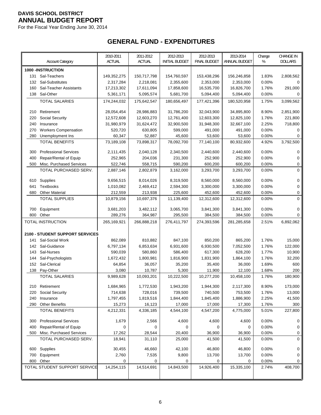For the Fiscal Year Ending June 30, 2014

# **GENERAL FUND - EXPENDITURES**

|     | <b>Account Category</b>         | 2010-2011<br><b>ACTUAL</b> | 2011-2012<br>ACTUAL | 2012-2013<br><b>INITIAL BUDGET</b> | 2012-2013<br><b>FINAL BUDGET</b> | 2013-2014<br>ANNUAL BUDGET | Change<br>% | CHANGE IN<br><b>DOLLARS</b> |
|-----|---------------------------------|----------------------------|---------------------|------------------------------------|----------------------------------|----------------------------|-------------|-----------------------------|
|     | <b>1000 -INSTRUCTION</b>        |                            |                     |                                    |                                  |                            |             |                             |
|     | 131 Sal-Teachers                | 149,352,275                | 150,717,798         | 154,760,597                        | 153,438,296                      | 156,246,858                | 1.83%       | 2,808,562                   |
|     | 132 Sal-Substitutes             | 2,317,284                  | 2,218,081           | 2,355,600                          | 2,353,000                        | 2,353,000                  | 0.00%       | $\Omega$                    |
| 160 | Sal-Teacher Assistants          | 17,213,302                 | 17,611,094          | 17,858,600                         | 16,535,700                       | 16,826,700                 | 1.76%       | 291,000                     |
| 138 | Sal-Other                       | 5,361,171                  | 5,095,574           | 5,681,700                          | 5,094,400                        | 5,094,400                  | 0.00%       | $\Omega$                    |
|     | <b>TOTAL SALARIES</b>           | 174,244,032                | 175,642,547         | 180,656,497                        | 177,421,396                      | 180,520,958                | 1.75%       | 3,099,562                   |
|     |                                 |                            |                     |                                    |                                  |                            |             |                             |
| 210 | Retirement                      | 28,054,454                 | 28,986,883          | 31,786,200                         | 32,043,900                       | 34,895,800                 | 8.90%       | 2,851,900                   |
| 220 | <b>Social Security</b>          | 12,572,608                 | 12,603,270          | 12,761,400                         | 12,603,300                       | 12,825,100                 | 1.76%       | 221,800                     |
| 240 | Insurance                       | 31,980,979                 | 31,624,472          | 32,900,500                         | 31,948,300                       | 32,667,100                 | 2.25%       | 718,800                     |
| 270 | <b>Workers Compensation</b>     | 520,720                    | 630,805             | 599,000                            | 491,000                          | 491,000                    | 0.00%       | 0                           |
| 280 | Unemployment Ins                | 60,347                     | 52,887              | 45,600                             | 53,600                           | 53,600                     | 0.00%       | 0                           |
|     | <b>TOTAL BENEFITS</b>           | 73,189,108                 | 73,898,317          | 78,092,700                         | 77,140,100                       | 80,932,600                 | 4.92%       | 3,792,500                   |
| 300 | <b>Professional Services</b>    | 2,111,435                  | 2,040,128           | 2,340,500                          | 2,440,600                        | 2,440,600                  | 0.00%       | 0                           |
| 400 | Repair/Rental of Equip          | 252,965                    | 204,036             | 231,300                            | 252,900                          | 252,900                    | 0.00%       | 0                           |
| 500 | Misc. Purchased Services        | 522,746                    | 558,715             | 590,200                            | 600,200                          | 600,200                    | 0.00%       | 0                           |
|     | TOTAL PURCHASED SERV.           | 2,887,146                  | 2,802,879           | 3,162,000                          | 3,293,700                        | 3,293,700                  | 0.00%       | $\mathbf 0$                 |
|     |                                 |                            |                     |                                    |                                  |                            |             |                             |
|     | 610 Supplies                    | 9,656,515                  | 8,014,026           | 8,319,500                          | 8,560,000                        | 8,560,000                  | 0.00%       | 0                           |
| 641 | <b>Textbooks</b>                | 1,010,082                  | 2,469,412           | 2,594,300                          | 3,300,000                        | 3,300,000                  | 0.00%       | 0                           |
| 680 | <b>Other Material</b>           | 212,559                    | 213,938             | 225,600                            | 452,600                          | 452,600                    | 0.00%       | 0                           |
|     | <b>TOTAL SUPPLIES</b>           | 10,879,156                 | 10,697,376          | 11,139,400                         | 12,312,600                       | 12,312,600                 | 0.00%       | 0                           |
| 700 | Equipment                       | 3,681,203                  | 3,482,112           | 3,065,700                          | 3,841,300                        | 3,841,300                  | 0.00%       | 0                           |
| 800 | Other                           | 289,276                    | 364,987             | 295,500                            | 384,500                          | 384,500                    | 0.00%       | 0                           |
|     | TOTAL INSTRUCTION               | 265,169,921                | 266,888,218         | 276,411,797                        | 274,393,596                      | 281,285,658                | 2.51%       | 6,892,062                   |
|     |                                 |                            |                     |                                    |                                  |                            |             |                             |
|     | 2100 - STUDENT SUPPORT SERVICES |                            |                     |                                    |                                  |                            |             |                             |
| 141 | Sal-Social Work                 | 862,089                    | 810,882             | 847,100                            | 850,200                          | 865,200                    | 1.76%       | 15,000                      |
| 142 | Sal-Guidance                    | 6,797,134                  | 6,853,634           | 6,931,600                          | 6,930,500                        | 7,052,500                  | 1.76%       | 122,000                     |
| 143 | Sal-Nurses                      | 590,039                    | 580,860             | 586,400                            | 617,300                          | 628,200                    | 1.77%       | 10,900                      |
| 144 | Sal-Psychologists               | 1,672,432                  | 1,800,981           | 1,816,900                          | 1,831,900                        | 1,864,100                  | 1.76%       | 32,200                      |
| 152 | Sal-Clerical                    | 64,854                     | 36,057              | 35,200                             | 35,400                           | 36,000                     | 1.69%       | 600                         |
|     | 138 Pay-Other                   | 3,080                      | 10,787              | 5,300                              | 11,900                           | 12,100                     | 1.68%       | 200                         |
|     | <b>TOTAL SALARIES</b>           | 9,989,628                  | 10,093,201          | 10,222,500                         | 10,277,200                       | 10,458,100                 | 1.76%       | 180,900                     |
|     | 210 Retirement                  | 1,684,965                  | 1,772,530           | 1,943,200                          | 1,944,300                        | 2,117,300                  | 8.90%       | 173,000                     |
| 220 | Social Security                 | 714,638                    | 728,016             | 739,500                            | 740,500                          | 753,500                    | 1.76%       | 13,000                      |
| 240 | Insurance                       | 1,797,455                  | 1,819,516           | 1,844,400                          | 1,845,400                        | 1,886,900                  | 2.25%       | 41,500                      |
| 290 | <b>Other Benefits</b>           | 15,273                     | 16,123              | 17,000                             | 17,000                           | 17,300                     | 1.76%       | 300                         |
|     | <b>TOTAL BENEFITS</b>           | 4,212,331                  | 4,336,185           | 4,544,100                          | 4,547,200                        | 4,775,000                  | 5.01%       | 227,800                     |
|     |                                 |                            |                     |                                    |                                  |                            |             |                             |
| 300 | <b>Professional Services</b>    | 1,679                      | 2,566               | 4,600                              | 4,600                            | 4,600                      | 0.00%       | 0                           |
| 400 | Repair/Rental of Equip          | 0                          | 0                   | 0                                  | 0                                | 0                          | 0.00%       | 0                           |
| 500 | Misc. Purchased Services        | 17,262                     | 28,544              | 20,400                             | 36,900                           | 36,900                     | 0.00%       | 0                           |
|     | TOTAL PURCHASED SERV.           | 18,941                     | 31,110              | 25,000                             | 41,500                           | 41,500                     | 0.00%       | $\mathbf 0$                 |
| 600 | Supplies                        | 30,455                     | 46,660              | 42,100                             | 46,800                           | 46,800                     | 0.00%       | 0                           |
| 700 | Equipment                       | 2,760                      | 7,535               | 9,800                              | 13,700                           | 13,700                     | 0.00%       | 0                           |
|     | 800 Other                       | 0                          | 0                   | 0                                  | 0                                | 0                          | 0.00%       | 0                           |
|     | TOTAL STUDENT SUPPORT SERVICE   | 14,254,115                 | 14,514,691          | 14,843,500                         | 14,926,400                       | 15,335,100                 | 2.74%       | 408,700                     |
|     |                                 |                            |                     |                                    |                                  |                            |             |                             |
|     |                                 |                            |                     |                                    |                                  |                            |             |                             |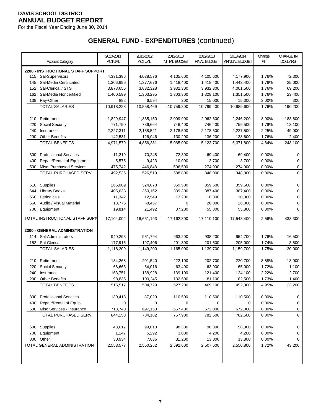For the Fiscal Year Ending June 30, 2014

|     | <b>Account Category</b>            | 2010-2011<br><b>ACTUAL</b> | 2011-2012<br><b>ACTUAL</b> | 2012-2013<br><b>INITIAL BUDGET</b> | 2012-2013<br><b>FINAL BUDGET</b> | 2013-2014<br>ANNUAL BUDGET | Change<br>% | <b>CHANGE IN</b><br><b>DOLLARS</b> |
|-----|------------------------------------|----------------------------|----------------------------|------------------------------------|----------------------------------|----------------------------|-------------|------------------------------------|
|     | 2200 - INSTRUCTIONAL STAFF SUPPORT |                            |                            |                                    |                                  |                            |             |                                    |
| 115 | Sal-Supervisors                    | 4,331,396                  | 4,038,576                  | 4,105,600                          | 4,105,600                        | 4,177,900                  | 1.76%       | 72,300                             |
| 145 | Sal-Media Certificated             | 1,306,696                  | 1,377,676                  | 1,418,400                          | 1,418,400                        | 1,443,400                  | 1.76%       | 25,000                             |
| 152 | Sal-Clerical / STS                 | 3,878,655                  | 3,832,328                  | 3,932,300                          | 3,932,300                        | 4,001,500                  | 1.76%       | 69,200                             |
| 162 | Sal-Media Noncertified             | 1,400,599                  | 1,303,295                  | 1,303,300                          | 1,328,100                        | 1,351,500                  | 1.76%       | 23,400                             |
|     | 138 Pay-Other                      | 882                        | 6,594                      | 200                                | 15,000                           | 15,300                     | 2.00%       | 300                                |
|     | <b>TOTAL SALARIES</b>              | 10,918,228                 | 10,558,469                 | 10,759,800                         | 10,799,400                       | 10.989.600                 | 1.76%       | 190,200                            |
|     |                                    |                            |                            |                                    |                                  |                            |             |                                    |
| 210 | Retirement                         | 1,829,947                  | 1,835,150                  | 2,009,900                          | 2,062,600                        | 2,246,200                  | 8.90%       | 183,600                            |
| 220 | <b>Social Security</b>             | 771,790                    | 736,664                    | 746,400                            | 746,400                          | 759,500                    | 1.76%       | 13,100                             |
| 240 | Insurance                          | 2,227,311                  | 2,158,521                  | 2,178,500                          | 2,178,500                        | 2,227,500                  | 2.25%       | 49,000                             |
| 290 | <b>Other Benefits</b>              | 142,531                    | 126,046                    | 130,200                            | 136,200                          | 138,600                    | 1.76%       | 2,400                              |
|     | <b>TOTAL BENEFITS</b>              | 4,971,579                  | 4,856,381                  | 5,065,000                          | 5,123,700                        | 5,371,800                  | 4.84%       | 248,100                            |
|     |                                    |                            |                            |                                    |                                  |                            |             |                                    |
| 300 | <b>Professional Services</b>       | 11,219                     | 70,248                     | 72,300                             | 69,400                           | 69,400                     | 0.00%       | 0                                  |
| 400 | Repair/Rental of Equipment         | 5,575                      | 9,423                      | 10,000                             | 3,700                            | 3,700                      | 0.00%       | 0                                  |
| 500 | Misc. Purchased Services           | 475,742                    | 446,848                    | 506,500                            | 274,900                          | 274,900                    | 0.00%       | 0                                  |
|     | TOTAL PURCHASED SERV.              | 492,536                    | 526,519                    | 588,800                            | 348,000                          | 348,000                    | 0.00%       | 0                                  |
|     |                                    |                            |                            |                                    |                                  |                            |             |                                    |
| 610 | Supplies                           | 266,089                    | 324,078                    | 359,500                            | 359,500                          | 359,500                    | 0.00%       | 0                                  |
| 644 | <b>Library Books</b>               | 405,638                    | 360,162                    | 339,300                            | 387,400                          | 387,400                    | 0.00%       | 0                                  |
| 650 | Periodicals                        | 11,342                     | 12,549                     | 13,200                             | 10,300                           | 10,300                     | 0.00%       | 0                                  |
| 660 | Audio / Visual Material            | 18,776                     | $-8,457$                   | 0                                  | 26,000                           | 26,000                     | 0.00%       | 0                                  |
| 700 | Equipment                          | 19,814                     | 21,492                     | 37,200                             | 55,800                           | 55,800                     | 0.00%       | 0                                  |
|     | TOTAL INSTRUCTIONAL STAFF SUPP     | 17,104,002                 | 16,651,193                 | 17,162,800                         | 17,110,100                       | 17,548,400                 | 2.56%       | 438,300                            |
|     |                                    |                            |                            |                                    |                                  |                            |             |                                    |
|     | 2300 - GENERAL ADMINISTRATION      |                            |                            |                                    |                                  |                            |             |                                    |
|     | 114 Sal-Administrators             | 940,293                    | 951,794                    | 963,200                            | 938,200                          | 954,700                    | 1.76%       | 16,500                             |
|     | 152 Sal-Clerical                   | 177,916                    | 197,406                    | 201,800                            | 201,500                          | 205,000                    | 1.74%       | 3,500                              |
|     | <b>TOTAL SALARIES</b>              | 1,118,209                  | 1,149,200                  | 1,165,000                          | 1,139,700                        | 1,159,700                  | 1.75%       | 20,000                             |
|     |                                    |                            |                            |                                    |                                  |                            |             |                                    |
| 210 | Retirement                         | 184,268                    | 201,540                    | 222,100                            | 202,700                          | 220,700                    | 8.88%       | 18,000                             |
| 220 | <b>Social Security</b>             | 68,663                     | 64,016                     | 63,400                             | 63,900                           | 65,000                     | 1.72%       | 1,100                              |
| 240 | Insurance                          | 163,751                    | 138,928                    | 139,100                            | 121,400                          | 124,100                    | 2.22%       | 2,700                              |
| 290 | <b>Other Benefits</b>              | 98,835                     | 100,245                    | 102,600                            | 81,100                           | 82,500                     | 1.73%       | 1,400                              |
|     | <b>TOTAL BENEFITS</b>              | 515,517                    | 504,729                    | 527,200                            | 469,100                          | 492,300                    | 4.95%       | 23.200                             |
|     |                                    |                            |                            |                                    |                                  |                            |             |                                    |
| 300 | <b>Professional Services</b>       | 130,413                    | 87,029                     | 110,500                            | 110,500                          | 110,500                    | 0.00%       | 0                                  |
| 400 | Repair/Rental of Equip             | 0                          | 0                          | 0                                  | 0                                | 0                          | 0.00%       | 0                                  |
| 500 | Misc Services - Insurance          | 713,740                    | 697,153                    | 657,400                            | 672,000                          | 672,000                    | 0.00%       | 0                                  |
|     | TOTAL PURCHASED SERV.              | 844,153                    | 784,182                    | 767,900                            | 782,500                          | 782,500                    | 0.00%       | 0                                  |
|     |                                    |                            |                            |                                    |                                  |                            |             |                                    |
|     | 600 Supplies                       | 43,617                     | 99,013                     | 98,300                             | 98,300                           | 98,300                     | 0.00%       | 0                                  |
|     | 700 Equipment                      | 1,147                      | 5,292                      | 3,000                              | 4,200                            | 4,200                      | 0.00%       | 0                                  |
|     | 800 Other                          | 30,934                     | 7,836                      | 31,200                             | 13,800                           | 13,800                     | 0.00%       | 0                                  |
|     | TOTAL GENERAL ADMINISTRATION       | 2,553,577                  | 2,550,252                  | 2,592,600                          | 2,507,600                        | 2,550,800                  | 1.72%       | 43,200                             |
|     |                                    |                            |                            |                                    |                                  |                            |             |                                    |
|     |                                    |                            |                            |                                    |                                  |                            |             |                                    |
|     |                                    |                            |                            |                                    |                                  |                            |             |                                    |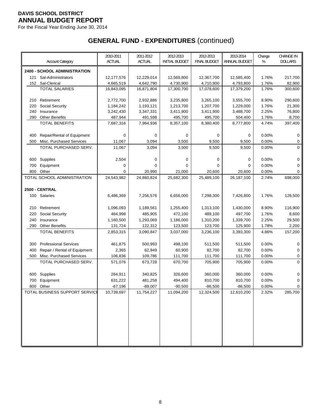For the Fiscal Year Ending June 30, 2014

|            | <b>Account Category</b>        | 2010-2011<br><b>ACTUAL</b> | 2011-2012<br><b>ACTUAL</b> | 2012-2013<br><b>INITIAL BUDGET</b> | 2012-2013<br><b>FINAL BUDGET</b> | 2013-2014<br>ANNUAL BUDGET | Change<br>% | <b>CHANGE IN</b><br><b>DOLLARS</b> |
|------------|--------------------------------|----------------------------|----------------------------|------------------------------------|----------------------------------|----------------------------|-------------|------------------------------------|
|            | 2400 - SCHOOL ADMINISTRATION   |                            |                            |                                    |                                  |                            |             |                                    |
|            | 121 Sal-Administrators         | 12,177,576                 | 12,229,014                 | 12,569,800                         | 12,367,700                       | 12,585,400                 | 1.76%       | 217,700                            |
|            | 152 Sal-Clerical               | 4,665,519                  | 4,642,790                  | 4,730,900                          | 4,710,900                        | 4,793,800                  | 1.76%       | 82,900                             |
|            | <b>TOTAL SALARIES</b>          | 16,843,095                 | 16,871,804                 | 17,300,700                         | 17,078,600                       | 17,379,200                 | 1.76%       | 300,600                            |
| 210        | Retirement                     | 2,772,700                  | 2,932,886                  | 3,235,800                          | 3,265,100                        | 3,555,700                  | 8.90%       | 290,600                            |
| 220        | <b>Social Security</b>         | 1,184,242                  | 1,193,121                  | 1,213,700                          | 1,207,700                        | 1,229,000                  | 1.76%       | 21,300                             |
| 240        | Insurance                      | 3,242,430                  | 3,347,331                  | 3,411,900                          | 3,411,900                        | 3,488,700                  | 2.25%       | 76,800                             |
| 290        | <b>Other Benefits</b>          | 487,944                    | 491,598                    | 495,700                            | 495,700                          | 504,400                    | 1.76%       | 8,700                              |
|            | <b>TOTAL BENEFITS</b>          | 7,687,316                  | 7,964,936                  | 8,357,100                          | 8,380,400                        | 8,777,800                  | 4.74%       | 397,400                            |
| 400        | Repair/Rental of Equipment     | 0                          | 0                          | 0                                  | 0                                | 0                          | 0.00%       | 0                                  |
| 500        | Misc. Purchased Services       | 11,067                     | 3,094                      | 3,500                              | 9,500                            | 9,500                      | 0.00%       | 0                                  |
|            | TOTAL PURCHASED SERV.          | 11,067                     | 3,094                      | 3,500                              | 9,500                            | 9,500                      | 0.00%       | $\Omega$                           |
|            | Supplies                       | 2,504                      | 0                          |                                    |                                  |                            | 0.00%       |                                    |
| 600<br>700 | Equipment                      | $\Omega$                   | $\Omega$                   | 0<br>$\Omega$                      | 0<br>$\Omega$                    | 0<br>0                     | 0.00%       | 0<br>$\mathbf 0$                   |
|            | 800 Other                      | 0                          | 20,990                     | 21,000                             | 20,600                           | 20,600                     | 0.00%       | 0                                  |
|            | TOTAL SCHOOL ADMINISTRATION    | 24,543,982                 | 24,860,824                 | 25,682,300                         | 25,489,100                       | 26,187,100                 | 2.74%       | 698,000                            |
|            |                                |                            |                            |                                    |                                  |                            |             |                                    |
|            | 2500 - CENTRAL                 |                            |                            |                                    |                                  |                            |             |                                    |
|            | 100 Salaries                   | 6,486,369                  | 7,256,576                  | 6,656,000                          | 7,298,300                        | 7,426,800                  | 1.76%       | 128,500                            |
| 210        | Retirement                     | 1,096,093                  | 1,189,561                  | 1,255,400                          | 1,313,100                        | 1,430,000                  | 8.90%       | 116,900                            |
| 220        | <b>Social Security</b>         | 464,998                    | 485,905                    | 472,100                            | 489,100                          | 497,700                    | 1.76%       | 8,600                              |
| 240        | Insurance                      | 1,160,500                  | 1,293,069                  | 1,186,000                          | 1,310,200                        | 1,339,700                  | 2.25%       | 29,500                             |
| 290        | <b>Other Benefits</b>          | 131,724                    | 122,312                    | 123,500                            | 123,700                          | 125,900                    | 1.78%       | 2,200                              |
|            | <b>TOTAL BENEFITS</b>          | 2,853,315                  | 3,090,847                  | 3,037,000                          | 3,236,100                        | 3,393,300                  | 4.86%       | 157,200                            |
| 300        | <b>Professional Services</b>   | 461,875                    | 500,993                    | 498,100                            | 511,500                          | 511,500                    | 0.00%       | 0                                  |
| 400        | Repair / Rental of Equipment   | 2,365                      | 62,949                     | 60,900                             | 82,700                           | 82,700                     | 0.00%       | 0                                  |
| 500        | Misc. Purchased Services       | 106,836                    | 109,786                    | 111,700                            | 111,700                          | 111,700                    | 0.00%       | 0                                  |
|            | TOTAL PURCHASED SERV.          | 571,076                    | 673,728                    | 670,700                            | 705,900                          | 705,900                    | 0.00%       | $\mathbf 0$                        |
|            |                                |                            |                            |                                    |                                  |                            |             |                                    |
| 600        | Supplies                       | 264,911                    | 340,825                    | 326,600                            | 360,000                          | 360,000                    | 0.00%       | 0                                  |
|            | 700 Equipment                  | 631,222                    | 481,258                    | 494,400                            | 810,700                          | 810,700                    | 0.00%       | 0                                  |
|            | 800 Other                      | $-67,196$                  | $-89,007$                  | $-90,500$                          | $-86,500$                        | $-86,500$                  | 0.00%       | $\mathbf 0$                        |
|            | TOTAL BUSINESS SUPPORT SERVICE | 10,739,697                 | 11,754,227                 | 11,094,200                         | 12,324,500                       | 12,610,200                 | 2.32%       | 285,700                            |
|            |                                |                            |                            |                                    |                                  |                            |             |                                    |
|            |                                |                            |                            |                                    |                                  |                            |             |                                    |
|            |                                |                            |                            |                                    |                                  |                            |             |                                    |
|            |                                |                            |                            |                                    |                                  |                            |             |                                    |
|            |                                |                            |                            |                                    |                                  |                            |             |                                    |
|            |                                |                            |                            |                                    |                                  |                            |             |                                    |
|            |                                |                            |                            |                                    |                                  |                            |             |                                    |
|            |                                |                            |                            |                                    |                                  |                            |             |                                    |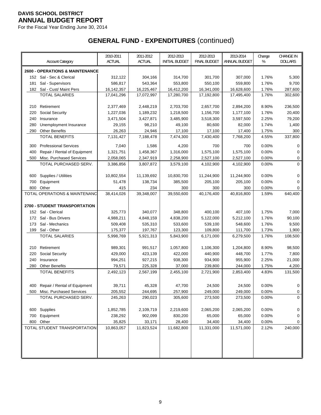For the Fiscal Year Ending June 30, 2014

|     |                                            | 2010-2011     | 2011-2012  | 2012-2013             | 2012-2013           | 2013-2014     | Change | <b>CHANGE IN</b> |
|-----|--------------------------------------------|---------------|------------|-----------------------|---------------------|---------------|--------|------------------|
|     | <b>Account Category</b>                    | <b>ACTUAL</b> | ACTUAL     | <b>INITIAL BUDGET</b> | <b>FINAL BUDGET</b> | ANNUAL BUDGET | %      | <b>DOLLARS</b>   |
|     |                                            |               |            |                       |                     |               |        |                  |
|     | <b>2600 - OPERATIONS &amp; MAINTENANCE</b> |               |            |                       |                     |               |        |                  |
|     | 152 Sal - Sec & Clerical                   | 312,122       | 304,166    | 314,700               | 301,700             | 307,000       | 1.76%  | 5,300            |
| 181 | Sal - Supervisors                          | 586,817       | 543,364    | 553,800               | 550,100             | 559,800       | 1.76%  | 9,700            |
|     | 182 Sal - Cust/ Maint Pers                 | 16,142,357    | 16,225,467 | 16,412,200            | 16,341,000          | 16,628,600    | 1.76%  | 287,600          |
|     | <b>TOTAL SALARIES</b>                      | 17,041,296    | 17,072,997 | 17,280,700            | 17,192,800          | 17,495,400    | 1.76%  | 302,600          |
| 210 | Retirement                                 | 2,377,469     | 2,448,219  | 2,703,700             | 2,657,700           | 2,894,200     | 8.90%  | 236,500          |
| 220 | <b>Social Security</b>                     | 1,227,036     | 1,189,232  | 1,218,500             | 1,156,700           | 1,177,100     | 1.76%  | 20,400           |
| 240 | Insurance                                  | 3,471,504     | 3,427,871  | 3,485,900             | 3,518,300           | 3,597,500     | 2.25%  | 79,200           |
| 280 | Unemployment Insurance                     | 29,155        | 98,210     | 49,100                | 80,600              | 82,000        | 1.74%  | 1,400            |
| 290 | <b>Other Benefits</b>                      | 26,263        | 24,946     | 17,100                | 17,100              | 17,400        | 1.75%  | 300              |
|     | <b>TOTAL BENEFITS</b>                      | 7,131,427     | 7,188,478  | 7,474,300             | 7,430,400           | 7,768,200     | 4.55%  | 337,800          |
|     |                                            |               |            |                       |                     |               |        |                  |
| 300 | <b>Professional Services</b>               | 7,040         | 1,586      | 4,200                 | 700                 | 700           | 0.00%  | 0                |
| 400 | Repair / Rental of Equipment               | 1,321,751     | 1,458,367  | 1,316,000             | 1,575,100           | 1,575,100     | 0.00%  | 0                |
| 500 | Misc. Purchased Services                   | 2,058,065     | 2,347,919  | 2,258,900             | 2,527,100           | 2,527,100     | 0.00%  | 0<br>$\mathbf 0$ |
|     | TOTAL PURCHASED SERV.                      | 3,386,856     | 3,807,872  | 3,579,100             | 4,102,900           | 4,102,900     | 0.00%  |                  |
| 600 | Supplies / Utilities                       | 10,802,554    | 11,139,692 | 10,830,700            | 11,244,900          | 11,244,900    | 0.00%  | 0                |
| 700 | Equipment                                  | 51,478        | 138,734    | 385,500               | 205,100             | 205,100       | 0.00%  | $\mathbf 0$      |
| 800 | Other                                      | 415           | 234        | 300                   | 300                 | 300           | 0.00%  | 0                |
|     | <b>TOTAL OPERATIONS &amp; MAINTENANC</b>   | 38,414,026    | 39,348,007 | 39,550,600            | 40,176,400          | 40,816,800    | 1.59%  | 640,400          |
|     |                                            |               |            |                       |                     |               |        |                  |
|     | 2700 - STUDENT TRANSPORTATION              |               |            |                       |                     |               |        |                  |
|     | 152 Sal - Clerical                         | 325,773       | 340,077    | 348,800               | 400,100             | 407,100       | 1.75%  | 7,000            |
| 172 | Sal - Bus Drivers                          | 4,988,211     | 4,848,159  | 4,838,200             | 5,122,000           | 5,212,100     | 1.76%  | 90,100           |
| 173 | Sal - Mechanics                            | 509,408       | 535,310    | 533,600               | 539,100             | 548,600       | 1.76%  | 9,500            |
| 199 | Sal - Other                                | 175,377       | 197,767    | 123,300               | 109,800             | 111,700       | 1.73%  | 1,900            |
|     | <b>TOTAL SALARIES</b>                      | 5,998,769     | 5,921,313  | 5,843,900             | 6,171,000           | 6,279,500     | 1.76%  | 108,500          |
|     |                                            |               |            |                       |                     |               |        |                  |
| 210 | Retirement                                 | 989,301       | 991,517    | 1,057,800             | 1,106,300           | 1,204,800     | 8.90%  | 98,500           |
| 220 | <b>Social Security</b>                     | 429,000       | 423,139    | 422,000               | 440,900             | 448,700       | 1.77%  | 7,800            |
| 240 | Insurance                                  | 994,251       | 927,215    | 938,300               | 934,900             | 955,900       | 2.25%  | 21,000           |
| 280 | <b>Other Benefits</b>                      | 79,571        | 225,328    | 37,000                | 239,800             | 244,000       | 1.75%  | 4,200            |
|     | <b>TOTAL BENEFITS</b>                      | 2,492,123     | 2,567,199  | 2,455,100             | 2,721,900           | 2,853,400     | 4.83%  | 131,500          |
|     |                                            |               |            |                       |                     |               |        |                  |
|     | 400 Repair / Rental of Equipment           | 39,711        | 45,328     | 47,700                | 24,500              | 24,500        | 0.00%  | 0                |
|     | 500 Misc. Purchased Services               | 205,552       | 244,695    | 257,900               | 249,000             | 249,000       | 0.00%  | 0                |
|     | TOTAL PURCHASED SERV.                      | 245,263       | 290,023    | 305,600               | 273,500             | 273,500       | 0.00%  | 0                |
|     |                                            |               |            |                       |                     |               |        |                  |
|     | 600 Supplies                               | 1,852,785     | 2,109,719  | 2,219,600             | 2,065,200           | 2,065,200     | 0.00%  | 0                |
|     | 700 Equipment                              | 238,292       | 902,099    | 830,200               | 65,000              | 65,000        | 0.00%  | 0                |
|     | 800 Other                                  | 35,825        | 33,171     | 28,400                | 34,400              | 34,400        | 0.00%  | 0                |
|     | TOTAL STUDENT TRANSPORTATION               | 10,863,057    | 11,823,524 | 11,682,800            | 11,331,000          | 11,571,000    | 2.12%  | 240,000          |
|     |                                            |               |            |                       |                     |               |        |                  |
|     |                                            |               |            |                       |                     |               |        |                  |
|     |                                            |               |            |                       |                     |               |        |                  |
|     |                                            |               |            |                       |                     |               |        |                  |
|     |                                            |               |            |                       |                     |               |        |                  |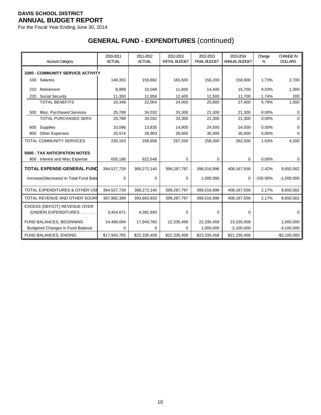For the Fiscal Year Ending June 30, 2014

| <b>Account Category</b>                               | 2010-2011<br><b>ACTUAL</b> | 2011-2012<br><b>ACTUAL</b> | 2012-2013<br><b>INITIAL BUDGET</b> | 2012-2013<br><b>FINAL BUDGET</b> | 2013-2014<br>ANNUAL BUDGET | Change<br>% | <b>CHANGE IN</b><br><b>DOLLARS</b> |
|-------------------------------------------------------|----------------------------|----------------------------|------------------------------------|----------------------------------|----------------------------|-------------|------------------------------------|
| <b>3300 - COMMUNITY SERVICE ACTIVITY</b>              |                            |                            |                                    |                                  |                            |             |                                    |
| Salaries<br>100                                       | 148,355                    | 159,882                    | 165,500                            | 156,200                          | 158,900                    | 1.73%       | 2,700                              |
| Retirement<br>210                                     | 8,999                      | 10,048                     | 11,600                             | 14,400                           | 15,700                     | 9.03%       | 1,300                              |
| Social Security<br>220                                | 11,350                     | 11,956                     | 12,400                             | 11,500                           | 11,700                     | 1.74%       | 200                                |
| <b>TOTAL BENEFITS</b>                                 | 20,349                     | 22,004                     | 24,000                             | 25,900                           | 27,400                     | 5.79%       | 1,500                              |
| Misc. Purchased Services<br>500                       | 25,789                     | 34,032                     | 33,300                             | 21,300                           | 21,300                     | 0.00%       | 0                                  |
| TOTAL PURCHASED SERV.                                 | 25,789                     | 34,032                     | 33,300                             | 21,300                           | 21,300                     | 0.00%       | $\Omega$                           |
| Supplies<br>600                                       | 10,096                     | 13,835                     | 14,900                             | 24,500                           | 24,500                     | 0.00%       | $\Omega$                           |
| 800<br><b>Other Expenses</b>                          | 25,574                     | 28,903                     | 29,500                             | 30,400                           | 30,400                     | 0.00%       | 0                                  |
| <b>TOTAL COMMUNITY SERVICES</b>                       | 230,163                    | 258,656                    | 267,200                            | 258,300                          | 262,500                    | 1.63%       | 4,200                              |
| <b>5000 - TAX ANTICIPATION NOTES</b>                  |                            |                            |                                    |                                  |                            |             |                                    |
| 800<br>Interest and Misc Expense                      | 655,188                    | 622,548                    | 0                                  | 0                                | 0                          | 0.00%       | 0                                  |
| <b>TOTAL EXPENSE-GENERAL FUND</b>                     | 384,527,728                | 389,272,140                | 399,287,797                        | 398,516,996                      | 408,167,558                | 2.42%       | 9,650,562                          |
| Increase/(decrease) in Total Fund Bala                | $\Omega$                   | $\Omega$                   | $\Omega$                           | 1,000,000                        | $\Omega$                   | $-100.00\%$ | $-1,000,000$                       |
| <b>TOTAL EXPENDITURES &amp; OTHER USE</b>             | 384,527,728                | 389,272,140                | 399,287,797                        | 399,516,996                      | 408,167,558                | 2.17%       | 8,650,562                          |
| TOTAL REVENUE AND OTHER SOURC                         | 387,982,399                | 393,663,833                | 399,287,797                        | 399,516,996                      | 408,167,558                | 2.17%       | 8,650,562                          |
| EXCESS (DEFICIT) REVENUE OVER<br>(UNDER) EXPENDITURES | 3,454,671                  | 4,391,693                  | $\mathbf 0$                        | 0                                | 0                          |             | $\Omega$                           |
| FUND BALANCES, BEGINNING                              | 14,489,094                 | 17,943,765                 | 22,335,458                         | 22,335,458                       | 23,335,458                 |             | 1,000,000                          |
| <b>Budgeted Changes in Fund Balance</b>               | $\Omega$                   | 0                          | 0                                  | 1,000,000                        | $-2,100,000$               |             | $-3,100,000$                       |
| FUND BALANCES, ENDING                                 | \$17,943,765               | \$22,335,458               | \$22,335,458                       | \$23,335,458                     | \$21,235,458               |             | $-$2,100,000$                      |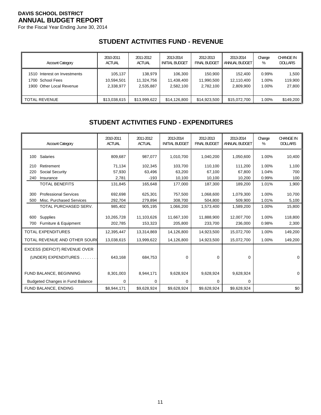For the Fiscal Year Ending June 30, 2014

# **STUDENT ACTIVITIES FUND - REVENUE**

| <b>Account Category</b>      | 2010-2011     | 2011-2012     | 2013-2014             | 2012-2013           | 2013-2014     | Change | <b>CHANGE IN</b> |
|------------------------------|---------------|---------------|-----------------------|---------------------|---------------|--------|------------------|
|                              | <b>ACTUAL</b> | <b>ACTUAL</b> | <b>INITIAL BUDGET</b> | <b>FINAL BUDGET</b> | ANNUAL BUDGET | %      | <b>DOLLARS</b>   |
| 1510 Interest on Investments | 105,137       | 138.979       | 106.300               | 150.900             | 152.400       | 0.99%  | 1,500            |
| 1700 School Fees             | 10,594,501    | 11,324,756    | 11,438,400            | 11,990,500          | 12,110,400    | 1.00%  | 119,900          |
| 1900 Other Local Revenue     | 2,338,977     | 2,535,887     | 2,582,100             | 2,782,100           | 2,809,900     | 1.00%  | 27,800           |
| <b>TOTAL REVENUE</b>         | \$13,038,615  | \$13,999,622  | \$14,126,800          | \$14,923,500        | \$15,072,700  | 1.00%  | \$149,200        |

#### **STUDENT ACTIVITIES FUND - EXPENDITURES**

| <b>Account Category</b>                         | 2010-2011<br><b>ACTUAL</b> | 2011-2012<br><b>ACTUAL</b> | 2013-2014<br><b>INITIAL BUDGET</b> | 2012-2013<br><b>FINAL BUDGET</b> | 2013-2014<br><b>ANNUAL BUDGET</b> | Change<br>%    | <b>CHANGE IN</b><br><b>DOLLARS</b> |
|-------------------------------------------------|----------------------------|----------------------------|------------------------------------|----------------------------------|-----------------------------------|----------------|------------------------------------|
| 100 Salaries                                    | 809,687                    | 987,077                    | 1,010,700                          | 1,040,200                        | 1,050,600                         | 1.00%          | 10,400                             |
| Retirement<br>210                               | 71,134                     | 102,345                    | 103,700                            | 110,100                          | 111,200                           | 1.00%          | 1,100                              |
| Social Security<br>220                          | 57,930                     | 63,496                     | 63,200                             | 67,100                           | 67,800                            | 1.04%          | 700                                |
| 240<br>Insurance                                | 2,781                      | $-193$                     | 10,100                             | 10,100                           | 10,200                            | 0.99%          | 100                                |
| <b>TOTAL BENEFITS</b>                           | 131,845                    | 165,648                    | 177,000                            | 187,300                          | 189,200                           | 1.01%          | 1,900                              |
| <b>Professional Services</b><br>300             | 692,698                    | 625,301                    | 757,500                            | 1,068,600                        | 1,079,300                         | 1.00%          | 10,700                             |
| Misc. Purchased Services<br>500                 | 292,704                    | 279,894                    | 308,700                            | 504,800                          | 509,900                           | 1.01%          | 5,100                              |
| TOTAL PURCHASED SERV.                           | 985,402                    | 905,195                    | 1,066,200                          | 1,573,400                        | 1,589,200                         | 1.00%          | 15,800                             |
| Supplies<br>600<br>Furniture & Equipment<br>700 | 10,265,728<br>202,785      | 11,103,626<br>153,323      | 11,667,100<br>205,800              | 11,888,900<br>233,700            | 12,007,700<br>236,000             | 1.00%<br>0.98% | 118,800<br>2,300                   |
| <b>TOTAL EXPENDITURES</b>                       | 12,395,447                 | 13,314,869                 | 14,126,800                         | 14,923,500                       | 15,072,700                        | 1.00%          | 149,200                            |
| TOTAL REVENUE AND OTHER SOURC                   | 13,038,615                 | 13,999,622                 | 14,126,800                         | 14,923,500                       | 15,072,700                        | 1.00%          | 149,200                            |
| EXCESS (DEFICIT) REVENUE OVER                   |                            |                            |                                    |                                  |                                   |                |                                    |
| (UNDER) EXPENDITURES                            | 643,168                    | 684,753                    | $\Omega$                           | $\mathbf 0$                      | 0                                 |                | $\Omega$                           |
| FUND BALANCE, BEGINNING                         | 8,301,003                  | 8,944,171                  | 9,628,924                          | 9,628,924                        | 9,628,924                         |                | 0                                  |
| <b>Budgeted Changes in Fund Balance</b>         | 0                          | 0                          | 0                                  | 0                                | $\Omega$                          |                |                                    |
| FUND BALANCE, ENDING                            | \$8,944,171                | \$9,628,924                | \$9,628,924                        | \$9,628,924                      | \$9,628,924                       |                | \$0                                |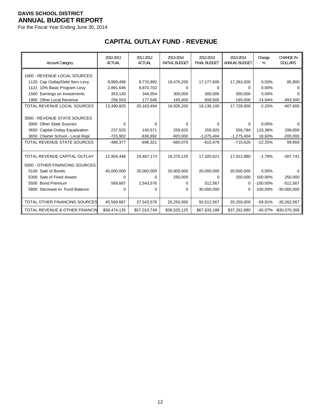For the Fiscal Year Ending June 30, 2014

# **CAPITAL OUTLAY FUND - REVENUE**

| <b>Account Category</b>            | 2010-2011<br><b>ACTUAL</b> | 2011-2012<br><b>ACTUAL</b> | 2013-2014<br><b>INITIAL BUDGET</b> | 2012-2013<br><b>FINAL BUDGET</b> | 2013-2014<br>ANNUAL BUDGET | Change<br>% | <b>CHANGE IN</b><br><b>DOLLARS</b> |
|------------------------------------|----------------------------|----------------------------|------------------------------------|----------------------------------|----------------------------|-------------|------------------------------------|
| 1000 - REVENUE LOCAL SOURCES:      |                            |                            |                                    |                                  |                            |             |                                    |
| 1120 Cap Outlay/Debt Serv Levy     | 9,889,496                  | 9,770,892                  | 16,470,200                         | 17,177,600                       | 17,263,500                 | 0.50%       | 85,900                             |
| 1121 10% Basic Program Levy        | 2,891,646                  | 9,870,702                  |                                    | 0                                | 0                          | 0.00%       |                                    |
| Earnings on Investments<br>1500    | 353,130                    | 344,354                    | 300,000                            | 300.000                          | 300,000                    | 0.00%       |                                    |
| <b>Other Local Revenue</b><br>1900 | 256,553                    | 177,546                    | 165,000                            | 658,500                          | 165,000                    | $-74.94%$   | $-493,500$                         |
| TOTAL REVENUE LOCAL SOURCES        | 13,390,825                 | 20,163,494                 | 16,935,200                         | 18,136,100                       | 17,728,500                 | $-2.25%$    | $-407,600$                         |
|                                    |                            |                            |                                    |                                  |                            |             |                                    |
| 3000 - REVENUE STATE SOURCES       |                            |                            |                                    |                                  |                            |             |                                    |
| 3900 Other State Sources           | $\Omega$                   | $\Omega$                   | 0                                  | $\Omega$                         | 0                          | 0.00%       | 0                                  |
| 3650 Capital Outlay Equalization   | 237,525                    | 140,571                    | 259,925                            | 259,925                          | 559,784                    | 115.36%     | 299,859                            |
| 3650 Charter School - Local Repl   | $-723,902$                 | $-836,892$                 | $-920,000$                         | $-1,075,404$                     | $-1,275,404$               | 18.60%      | $-200,000$                         |
| <b>TOTAL REVENUE STATE SOURCES</b> | $-486,377$                 | $-696,321$                 | $-660,075$                         | $-815,479$                       | $-715,620$                 | $-12.25%$   | 99,859                             |
|                                    |                            |                            |                                    |                                  |                            |             |                                    |
| TOTAL REVENUE CAPITAL OUTLAY       | 12,904,448                 | 19,467,173                 | 16,275,125                         | 17,320,621                       | 17,012,880                 | $-1.78%$    | $-307,741$                         |
| 5000 - OTHER FINANCING SOURCES:    |                            |                            |                                    |                                  |                            |             |                                    |
| 5100 Sale of Bonds                 | 45,000,000                 | 35,000,000                 | 20,000,000                         | 20,000,000                       | 20,000,000                 | 0.00%       |                                    |
| 5300 Sale of Fixed Assets          | 0                          | 0                          | 250,000                            | 0                                | 250,000                    | 100.00%     | 250,000                            |
| 5500 Bond Premium                  | 569,687                    | 2,543,576                  | 0                                  | 512,567                          | 0                          | $-100.00\%$ | $-512,567$                         |
| 5800 Decrease to Fund Balance      | 0                          | 0                          | $\Omega$                           | 30,000,000                       | 0                          | $-100.00\%$ | $-30,000,000$                      |
|                                    |                            |                            |                                    |                                  |                            |             |                                    |
| TOTAL OTHER FINANCING SOURCES      | 45,569,687                 | 37,543,576                 | 20,250,000                         | 50,512,567                       | 20,250,000                 | $-59.91%$   | $-30,262,567$                      |
| TOTAL REVENUE & OTHER FINANCIN     | \$58,474,135               | \$57,010,749               | \$36,525,125                       | \$67,833,188                     | \$37,262,880               |             | -45.07% -\$30,570,308              |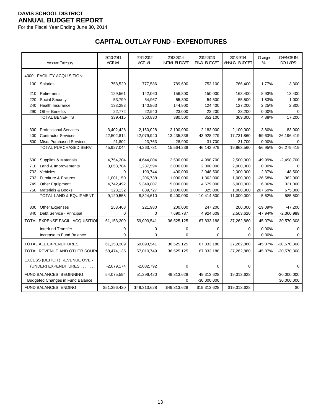For the Fiscal Year Ending June 30, 2014

# **CAPITAL OUTLAY FUND - EXPENDITURES**

|     | <b>Account Category</b>                 | 2010-2011<br><b>ACTUAL</b> | 2011-2012<br><b>ACTUAL</b> | 2013-2014<br><b>INITIAL BUDGET</b> | 2012-2013<br><b>FINAL BUDGET</b> | 2013-2014<br>ANNUAL BUDGET | Change<br>% | <b>CHANGE IN</b><br><b>DOLLARS</b> |
|-----|-----------------------------------------|----------------------------|----------------------------|------------------------------------|----------------------------------|----------------------------|-------------|------------------------------------|
|     | 4000 - FACILITY ACQUISITION:            |                            |                            |                                    |                                  |                            |             |                                    |
|     | 100 Salaries                            | 758,520                    | 777,586                    | 789,600                            | 753,100                          | 766,400                    | 1.77%       | 13,300                             |
| 210 | Retirement                              | 129,561                    | 142,060                    | 156,800                            | 150,000                          | 163,400                    | 8.93%       | 13,400                             |
| 220 | <b>Social Security</b>                  | 53,799                     | 54,967                     | 55,800                             | 54,500                           | 55,500                     | 1.83%       | 1,000                              |
| 240 | Health Insurance                        | 133,283                    | 140,863                    | 144,900                            | 124,400                          | 127,200                    | 2.25%       | 2,800                              |
| 290 | <b>Other Benefits</b>                   | 22,772                     | 22,940                     | 23,000                             | 23,200                           | 23,200                     | 0.00%       | $\Omega$                           |
|     | <b>TOTAL BENEFITS</b>                   | 339,415                    | 360,830                    | 380,500                            | 352,100                          | 369,300                    | 4.88%       | 17,200                             |
|     |                                         |                            |                            |                                    |                                  |                            |             |                                    |
| 300 | <b>Professional Services</b>            | 3,402,428                  | 2,160,028                  | 2,100,000                          | 2,183,000                        | 2,100,000                  | $-3.80%$    | $-83,000$                          |
| 400 | <b>Contractor Services</b>              | 42,502,814                 | 42,079,940                 | 13,435,338                         | 43,928,279                       | 17,731,860                 | -59.63%     | $-26, 196, 419$                    |
| 500 | Misc. Purchased Services                | 21,802                     | 23,763                     | 28,900                             | 31,700                           | 31,700                     | 0.00%       | 0                                  |
|     | TOTAL PURCHASED SERV.                   | 45,927,044                 | 44,263,731                 | 15,564,238                         | 46,142,979                       | 19,863,560                 | -56.95%     | $-26,279,419$                      |
|     |                                         |                            |                            |                                    |                                  |                            |             |                                    |
| 600 | Supplies & Materials                    | 4,754,304                  | 4,644,804                  | 2,500,000                          | 4,998,700                        | 2,500,000                  | -49.99%     | $-2,498,700$                       |
| 710 | Land & Improvements                     | 3,053,784                  | 1,237,594                  | 2,000,000                          | 2,000,000                        | 2,000,000                  | 0.00%       | $\Omega$                           |
| 732 | Vehicles                                | $\mathbf 0$                | 190,744                    | 400,000                            | 2,048,500                        | 2,000,000                  | $-2.37%$    | $-48,500$                          |
| 733 | Furniture & Fixtures                    | 1,001,150                  | 1,206,738                  | 1,000,000                          | 1,362,000                        | 1,000,000                  | $-26.58%$   | $-362,000$                         |
| 749 | Other Equipment                         | 4,742,492                  | 5,349,807                  | 5,000,000                          | 4,679,000                        | 5,000,000                  | 6.86%       | 321,000                            |
| 750 | <b>Materials &amp; Books</b>            | 323,132                    | 839,727                    | 1,000,000                          | 325,000                          | 1,000,000                  | 207.69%     | 675,000                            |
|     | TOTAL LAND & EQUIPMENT                  | 9,120,558                  | 8,824,610                  | 9,400,000                          | 10,414,500                       | 11,000,000                 | 5.62%       | 585,500                            |
| 800 | <b>Other Expenses</b>                   | 253,468                    | 221,980                    | 200,000                            | 247,200                          | 200,000                    | $-19.09%$   | $-47,200$                          |
| 840 | Debt Service - Principal                | 0                          | 0                          | 7,690,787                          | 4,924,609                        | 2,563,620                  | -47.94%     | $-2,360,989$                       |
|     | TOTAL EXPENSE FACIL. ACQUISITION        | 61,153,309                 | 59,093,541                 | 36,525,125                         | 67,833,188                       | 37,262,880                 | $-45.07%$   | $-30,570,308$                      |
|     | Interfund Transfer                      | 0                          | $\mathbf 0$                | 0                                  | 0                                | $\mathbf 0$                | 0.00%       | $\mathbf 0$                        |
|     | Increase to Fund Balance                | 0                          | $\Omega$                   | 0                                  | 0                                | 0                          | 0.00%       | 0                                  |
|     | TOTAL ALL EXPENDITURES                  | 61,153,309                 | 59,093,541                 | 36,525,125                         | 67,833,188                       | 37,262,880                 | $-45.07%$   | $-30,570,308$                      |
|     | TOTAL REVENUE AND OTHER SOURC           | 58,474,135                 | 57,010,749                 | 36,525,125                         | 67,833,188                       | 37,262,880                 | $-45.07%$   | $-30,570,308$                      |
|     | EXCESS (DEFICIT) REVENUE OVER           |                            |                            |                                    |                                  |                            |             |                                    |
|     | (UNDER) EXPENDITURES                    | $-2,679,174$               | $-2,082,792$               | 0                                  | 0                                | $\mathbf 0$                |             | $\mathbf 0$                        |
|     | FUND BALANCES, BEGINNING                | 54,075,594                 | 51,396,420                 | 49,313,628                         | 49,313,628                       | 19,313,628                 |             | $-30,000,000$                      |
|     | <b>Budgeted Changes in Fund Balance</b> |                            |                            | $\Omega$                           | $-30,000,000$                    |                            |             | 30,000,000                         |
|     | FUND BALANCES, ENDING                   | \$51,396,420               | \$49,313,628               | \$49,313,628                       | \$19,313,628                     | \$19,313,628               |             | \$0                                |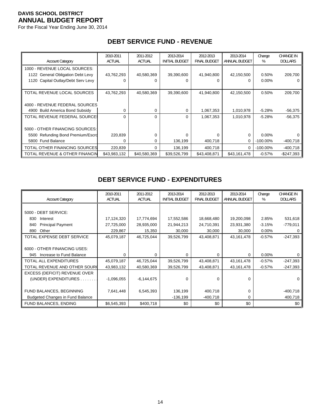For the Fiscal Year Ending June 30, 2014

| <b>Account Category</b>            | 2010-2011<br><b>ACTUAL</b> | 2011-2012<br><b>ACTUAL</b> | 2013-2014<br><b>INITIAL BUDGET</b> | 2012-2013<br><b>FINAL BUDGET</b> | 2013-2014<br>ANNUAL BUDGET | Change<br>% | <b>CHANGE IN</b><br><b>DOLLARS</b> |
|------------------------------------|----------------------------|----------------------------|------------------------------------|----------------------------------|----------------------------|-------------|------------------------------------|
|                                    |                            |                            |                                    |                                  |                            |             |                                    |
| 1000 - REVENUE LOCAL SOURCES:      |                            |                            |                                    |                                  |                            |             |                                    |
| 1122 General Obligation Debt Levy  | 43,762,293                 | 40,580,369                 | 39,390,600                         | 41,940,800                       | 42,150,500                 | 0.50%       | 209,700                            |
| 1120 Capital Outlay/Debt Serv Levy |                            |                            |                                    | 0                                | 0                          | $0.00\%$    |                                    |
|                                    |                            |                            |                                    |                                  |                            |             |                                    |
| TOTAL REVENUE LOCAL SOURCES        | 43,762,293                 | 40,580,369                 | 39,390,600                         | 41,940,800                       | 42,150,500                 | 0.50%       | 209,700                            |
|                                    |                            |                            |                                    |                                  |                            |             |                                    |
| 4000 - REVENUE FEDERAL SOURCES     |                            |                            |                                    |                                  |                            |             |                                    |
| 4900 Build America Bond Subsidy    |                            | 0                          | 0                                  | 1,067,353                        | 1,010,978                  | $-5.28%$    | $-56,375$                          |
| TOTAL REVENUE FEDERAL SOURCES      | $\Omega$                   | $\Omega$                   | $\Omega$                           | 1,067,353                        | 1,010,978                  | $-5.28%$    | $-56,375$                          |
|                                    |                            |                            |                                    |                                  |                            |             |                                    |
| 5000 - OTHER FINANCING SOURCES:    |                            |                            |                                    |                                  |                            |             |                                    |
| 5500 Refunding Bond Premium/Escro  | 220,839                    |                            | U                                  | $\Omega$                         | $\Omega$                   | $0.00\%$    |                                    |
| 5800 Fund Balance                  | 0                          | 0                          | 136,199                            | 400,718                          | 0                          | $-100.00\%$ | $-400,718$                         |
| TOTAL OTHER FINANCING SOURCES      | 220,839                    | 0                          | 136,199                            | 400,718                          | 0                          | $-100.00\%$ | $-400,718$                         |
| TOTAL REVENUE & OTHER FINANCIN     | \$43,983,132               | \$40,580,369               | \$39,526,799                       | \$43,408,871                     | \$43,161,478               | $-0.57%$    | $-$247,393$                        |

#### **DEBT SERVICE FUND - REVENUE**

#### **DEBT SERVICE FUND - EXPENDITURES**

| <b>Account Category</b>                 | 2010-2011<br><b>ACTUAL</b> | 2011-2012<br><b>ACTUAL</b> | 2013-2014<br><b>INITIAL BUDGET</b> | 2012-2013<br><b>FINAL BUDGET</b> | 2013-2014<br>ANNUAL BUDGET | Change<br>% | <b>CHANGE IN</b><br><b>DOLLARS</b> |
|-----------------------------------------|----------------------------|----------------------------|------------------------------------|----------------------------------|----------------------------|-------------|------------------------------------|
|                                         |                            |                            |                                    |                                  |                            |             |                                    |
| 5000 - DEBT SERVICE:                    |                            |                            |                                    |                                  |                            |             |                                    |
| 830<br>Interest                         | 17,124,320                 | 17,774,694                 | 17,552,586                         | 18,668,480                       | 19,200,098                 | 2.85%       | 531,618                            |
| <b>Principal Payment</b><br>840         | 27,725,000                 | 28,935,000                 | 21,944,213                         | 24,710,391                       | 23,931,380                 | $-3.15%$    | $-779,011$                         |
| Other<br>890                            | 229,867                    | 15,350                     | 30,000                             | 30,000                           | 30,000                     | $0.00\%$    |                                    |
| <b>TOTAL EXPENSE DEBT SERVICE</b>       | 45,079,187                 | 46,725,044                 | 39,526,799                         | 43,408,871                       | 43,161,478                 | $-0.57%$    | $-247,393$                         |
|                                         |                            |                            |                                    |                                  |                            |             |                                    |
| 6000 - OTHER FINANCING USES:            |                            |                            |                                    |                                  |                            |             |                                    |
| Increase to Fund Balance<br>945         | 0                          | 0                          | 0                                  | 0                                | 0                          | $0.00\%$    |                                    |
| <b>TOTAL ALL EXPENDITURES</b>           | 45,079,187                 | 46,725,044                 | 39,526,799                         | 43,408,871                       | 43,161,478                 | $-0.57%$    | $-247,393$                         |
| TOTAL REVENUE AND OTHER SOURC           | 43,983,132                 | 40,580,369                 | 39,526,799                         | 43,408,871                       | 43,161,478                 | $-0.57%$    | $-247,393$                         |
| EXCESS (DEFICIT) REVENUE OVER           |                            |                            |                                    |                                  |                            |             |                                    |
| (UNDER) EXPENDITURES.                   | $-1,096,055$               | $-6, 144, 675$             | $\Omega$                           | $\Omega$                         | $\Omega$                   |             |                                    |
|                                         |                            |                            |                                    |                                  |                            |             |                                    |
| FUND BALANCES, BEGINNING                | 7,641,448                  | 6,545,393                  | 136,199                            | 400,718                          | $\Omega$                   |             | $-400,718$                         |
| <b>Budgeted Changes in Fund Balance</b> |                            |                            | $-136,199$                         | $-400,718$                       | 0                          |             | 400,718                            |
| FUND BALANCES, ENDING                   | \$6,545,393                | \$400,718                  | \$0                                | \$0                              | \$0                        |             | \$0                                |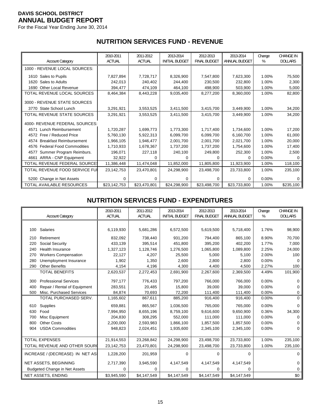For the Fiscal Year Ending June 30, 2014

# **NUTRITION SERVICES FUND - REVENUE**

| <b>Account Category</b>                | 2010-2011<br><b>ACTUAL</b> | 2011-2012<br><b>ACTUAL</b> | 2013-2014<br><b>INITIAL BUDGET</b> | 2012-2013<br><b>FINAL BUDGET</b> | 2013-2014<br>ANNUAL BUDGET | Change<br>% | <b>CHANGE IN</b><br><b>DOLLARS</b> |
|----------------------------------------|----------------------------|----------------------------|------------------------------------|----------------------------------|----------------------------|-------------|------------------------------------|
| 1000 - REVENUE LOCAL SOURCES:          |                            |                            |                                    |                                  |                            |             |                                    |
| 1610 Sales to Pupils                   | 7,827,894                  | 7,728,717                  | 8,326,900                          | 7,547,800                        | 7,623,300                  | 1.00%       | 75,500                             |
| Sales to Adults<br>1620                | 242,013                    | 240,402                    | 244,400                            | 230,500                          | 232,800                    | 1.00%       | 2,300                              |
| 1690 Other Local Revenue               | 394,477                    | 474,109                    | 464,100                            | 498,900                          | 503,900                    | 1.00%       | 5,000                              |
| TOTAL REVENUE LOCAL SOURCES            | 8,464,384                  | 8,443,228                  | 9,035,400                          | 8,277,200                        | 8,360,000                  | 1.00%       | 82,800                             |
| 3000 - REVENUE STATE SOURCES           |                            |                            |                                    |                                  |                            |             |                                    |
| 3770 State School Lunch                | 3,291,921                  | 3,553,525                  | 3,411,500                          | 3,415,700                        | 3,449,900                  | 1.00%       | 34,200                             |
| TOTAL REVENUE STATE SOURCES            | 3,291,921                  | 3,553,525                  | 3,411,500                          | 3,415,700                        | 3,449,900                  | 1.00%       | 34,200                             |
| 4000- REVENUE FEDERAL SOURCES:         |                            |                            |                                    |                                  |                            |             |                                    |
| Lunch Reimbursement<br>4571            | 1,720,287                  | 1,699,773                  | 1,773,300                          | 1,717,400                        | 1,734,600                  | 1.00%       | 17,200                             |
| 4572 Free / Reduced Price              | 5,760,130                  | 5,922,313                  | 6,099,700                          | 6,099,700                        | 6,160,700                  | 1.00%       | 61,000                             |
| <b>Breakfast Reimbursement</b><br>4574 | 1,966,105                  | 1,946,477                  | 2,001,700                          | 2,001,700                        | 2,021,700                  | 1.00%       | 20,000                             |
| 4576 Federal Food Commodities          | 1,710,933                  | 1,678,367                  | 1,737,200                          | 1,737,200                        | 1,754,600                  | 1.00%       | 17,400                             |
| Summer Program Reimburs.<br>4577       | 196,071                    | 227,118                    | 240,100                            | 249,800                          | 252,300                    | 1.00%       | 2,500                              |
| <b>ARRA - CNP Equipment</b><br>4661    | 32,922                     | 0                          | 0                                  | 0                                | 0                          | 0.00%       | 0                                  |
| TOTAL REVENUE FEDERAL SOURCES          | 11,386,448                 | 11,474,048                 | 11,852,000                         | 11,805,800                       | 11,923,900                 | 1.00%       | 118,100                            |
| <b>TOTAL REVENUE FOOD SERVICE FUI</b>  | 23,142,753                 | 23,470,801                 | 24,298,900                         | 23,498,700                       | 23,733,800                 | 1.00%       | 235,100                            |
| 5200 Change in Net Assets              | 0                          | 0                          | 0                                  | 0                                | 0                          | 0.00%       | 0                                  |
| TOTAL AVAILABLE RESOURCES              | \$23,142,753               | \$23,470,801               | \$24,298,900                       | \$23,498,700                     | \$23,733,800               | 1.00%       | \$235,100                          |

#### **NUTRITION SERVICES FUND - EXPENDITURES**

|     |                                      | 2010-2011     | 2011-2012     | 2013-2014             | 2012-2013           | 2013-2014            | Change   | <b>CHANGE IN</b> |
|-----|--------------------------------------|---------------|---------------|-----------------------|---------------------|----------------------|----------|------------------|
|     | <b>Account Category</b>              | <b>ACTUAL</b> | <b>ACTUAL</b> | <b>INITIAL BUDGET</b> | <b>FINAL BUDGET</b> | <b>ANNUAL BUDGET</b> | %        | <b>DOLLARS</b>   |
|     |                                      |               |               |                       |                     |                      |          |                  |
| 100 | Salaries                             | 6,119,930     | 5,681,286     | 6,572,500             | 5,619,500           | 5,718,400            | 1.76%    | 98,900           |
| 210 | Retirement                           | 832,092       | 738,440       | 931,200               | 794,400             | 865,100              | 8.90%    | 70,700           |
| 220 | Social Security                      | 433,139       | 395,514       | 451,800               | 395,200             | 402,200              | 1.77%    | 7,000            |
| 240 | Health Insurance                     | 1,327,123     | 1,128,746     | 1,276,500             | 1,065,800           | 1,089,800            | 2.25%    | 24,000           |
| 270 | <b>Workers Compensation</b>          | 22,127        | 4,207         | 25,500                | 5,000               | 5,100                | 2.00%    | 100              |
| 280 | Unemployment Insurance               | 1,902         | 1,350         | 2,600                 | 2,800               | 2,800                | 0.00%    | $\Omega$         |
| 290 | <b>Other Benefits</b>                | 4,154         | 4,196         | 4,300                 | 4,400               | 4,500                | 2.27%    | 100              |
|     | <b>TOTAL BENEFITS</b>                | 2,620,537     | 2,272,453     | 2,691,900             | 2,267,600           | 2,369,500            | 4.49%    | 101,900          |
| 300 | <b>Professional Services</b>         | 797,177       | 776,433       | 797,200               | 766,000             | 766,000              | $0.00\%$ | 0                |
| 400 | Repair / Rental of Equipment         | 283,551       | 20,485        | 15,800                | 39,000              | 39,000               | 0.00%    | 0                |
| 500 | Misc. Purchased Services             | 84,874        | 70,693        | 72,200                | 111,400             | 111,400              | 0.00%    | 0                |
|     | TOTAL PURCHASED SERV.                | 1,165,602     | 867,611       | 885,200               | 916,400             | 916,400              | 0.00%    | $\Omega$         |
| 610 | Supplies                             | 659,881       | 865,567       | 1,036,500             | 765,000             | 765,000              | 0.00%    | 0                |
| 630 | Food                                 | 7,994,950     | 8,655,196     | 8,759,100             | 9,616,600           | 9,650,900            | 0.36%    | 34,300           |
| 700 | Misc Equipment                       | 204,830       | 308,295       | 552,000               | 111,000             | 111,000              | 0.00%    | 0                |
| 800 | <b>Other Costs</b>                   | 2,200,000     | 2,593,983     | 1,866,100             | 1,857,500           | 1,857,500            | 0.00%    | U                |
| 904 | <b>USDA Commodities</b>              | 948,823       | 2,024,451     | 1,935,600             | 2,345,100           | 2,345,100            | 0.00%    | 0                |
|     |                                      |               |               |                       |                     |                      |          |                  |
|     | <b>TOTAL EXPENSES</b>                | 21,914,553    | 23,268,842    | 24,298,900            | 23,498,700          | 23,733,800           | 1.00%    | 235,100          |
|     | TOTAL REVENUE AND OTHER SOURD        | 23,142,753    | 23,470,801    | 24,298,900            | 23,498,700          | 23,733,800           | 1.00%    | 235,100          |
|     | INCREASE / (DECREASE) IN NET AS:     | 1,228,200     | 201,959       | $\Omega$              | 0                   | $\Omega$             |          | $\Omega$         |
|     | NET ASSETS, BEGINNING                | 2,717,390     | 3,945,590     | 4,147,549             | 4,147,549           | 4,147,549            |          | 0                |
|     | <b>Budgeted Change in Net Assets</b> | $\Omega$      | 0             | 0                     | 0                   | 0                    |          | 0                |
|     | NET ASSETS, ENDING                   | \$3,945,590   | \$4,147,549   | \$4,147,549           | \$4,147,549         | \$4,147,549          |          | \$0              |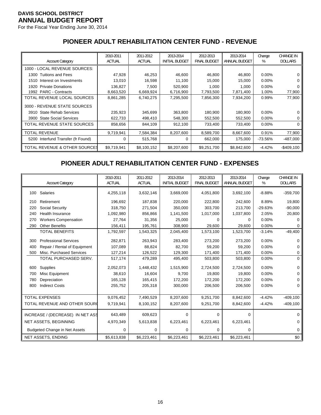For the Fiscal Year Ending June 30, 2014

# **PIONEER ADULT REHABILITATION CENTER FUND - REVENUE**

| <b>Account Category</b>             | 2010-2011<br><b>ACTUAL</b> | 2011-2012<br><b>ACTUAL</b> | 2013-2014<br><b>INITIAL BUDGET</b> | 2012-2013<br><b>FINAL BUDGET</b> | 2013-2014<br>ANNUAL BUDGET | Change<br>% | <b>CHANGE IN</b><br><b>DOLLARS</b> |
|-------------------------------------|----------------------------|----------------------------|------------------------------------|----------------------------------|----------------------------|-------------|------------------------------------|
| 1000 - LOCAL REVENUE SOURCES:       |                            |                            |                                    |                                  |                            |             |                                    |
| 1300 Tuitions and Fees              | 47,928                     | 46,253                     | 46,600                             | 46,800                           | 46,800                     | $0.00\%$    | 0                                  |
| 1510 Interest on Investments        | 13,010                     | 16,598                     | 11,100                             | 15,000                           | 15,000                     | $0.00\%$    | 0                                  |
| <b>Private Donations</b><br>1920    | 136,827                    | 7,500                      | 520,900                            | 1.000                            | 1.000                      | $0.00\%$    | 0                                  |
| 1992 PARC - Contracts               | 8,663,520                  | 6,669,924                  | 6,716,900                          | 7,793,500                        | 7,871,400                  | 1.00%       | 77,900                             |
| TOTAL REVENUE LOCAL SOURCES         | 8,861,285                  | 6,740,275                  | 7,295,500                          | 7,856,300                        | 7,934,200                  | 0.99%       | 77,900                             |
| 3000 - REVENUE STATE SOURCES        |                            |                            |                                    |                                  |                            |             |                                    |
| <b>State Rehab Services</b><br>3910 | 235,923                    | 345,699                    | 363,800                            | 180,900                          | 180,900                    | $0.00\%$    | 0                                  |
| 3900 State Social Services          | 622,733                    | 498,410                    | 548,300                            | 552,500                          | 552,500                    | $0.00\%$    | 0                                  |
| TOTAL REVENUE STATE SOURCES         | 858,656                    | 844.109                    | 912,100                            | 733.400                          | 733.400                    | $0.00\%$    | 0                                  |
| <b>TOTAL REVENUE</b>                | 9,719,941                  | 7,584,384                  | 8,207,600                          | 8,589,700                        | 8,667,600                  | 0.91%       | 77,900                             |
| 5200 Interfund Transfer (fr Found)  | 0                          | 515,768                    | 0                                  | 662,000                          | 175,000                    | -73.56%     | -487,000                           |
| TOTAL REVENUE & OTHER SOURCES       | \$9,719,941                | \$8,100,152                | \$8,207,600                        | \$9,251,700                      | \$8,842,600                | $-4.42%$    | $-$409,100$                        |

# **PIONEER ADULT REHABILITATION CENTER FUND - EXPENSES**

|     |                                      | 2010-2011     | 2011-2012     | 2013-2014             | 2012-2013           | 2013-2014     | Change    | <b>CHANGE IN</b> |
|-----|--------------------------------------|---------------|---------------|-----------------------|---------------------|---------------|-----------|------------------|
|     | <b>Account Category</b>              | <b>ACTUAL</b> | <b>ACTUAL</b> | <b>INITIAL BUDGET</b> | <b>FINAL BUDGET</b> | ANNUAL BUDGET | %         | <b>DOLLARS</b>   |
|     | 100 Salaries                         | 4,255,118     | 3,632,146     | 3,669,000             | 4,051,800           | 3,692,100     | $-8.88%$  | $-359,700$       |
| 210 | Retirement                           | 196,692       | 187,838       | 220,000               | 222,800             | 242,600       | 8.89%     | 19,800           |
| 220 | Social Security                      | 318,750       | 271,504       | 350,000               | 303,700             | 213,700       | $-29.63%$ | $-90,000$        |
| 240 | Health Insurance                     | 1,092,980     | 856,866       | 1,141,500             | 1,017,000           | 1,037,800     | 2.05%     | 20,800           |
| 270 | <b>Workers Compensation</b>          | 27,764        | 31,356        | 25,000                | $\Omega$            | $\Omega$      | $0.00\%$  | 0                |
| 290 | <b>Other Benefits</b>                | 156,411       | 195,761       | 308,900               | 29,600              | 29,600        | 0.00%     | 0                |
|     | <b>TOTAL BENEFITS</b>                | 1,792,597     | 1,543,325     | 2,045,400             | 1,573,100           | 1,523,700     | $-3.14%$  | $-49,400$        |
| 300 | <b>Professional Services</b>         | 282,871       | 263,943       | 283,400               | 273,200             | 273,200       | 0.00%     | $\Omega$         |
| 400 | Repair / Rental of Equipment         | 107,089       | 88,824        | 82,700                | 59,200              | 59,200        | $0.00\%$  | 0                |
| 500 | Misc. Purchased Services             | 127,214       | 126,522       | 129,300               | 171,400             | 171,400       | 0.00%     | 0                |
|     | TOTAL PURCHASED SERV.                | 517,174       | 479,289       | 495,400               | 503,800             | 503,800       | 0.00%     | $\mathbf 0$      |
| 600 | Supplies                             | 2,052,073     | 1,448,432     | 1,515,900             | 2,724,500           | 2,724,500     | 0.00%     | 0                |
| 700 | Misc Equipment                       | 38,610        | 16,604        | 9,700                 | 19,800              | 19,800        | 0.00%     | 0                |
| 780 | Depreciation                         | 165,128       | 165,415       | 172,200               | 172,200             | 172,200       | 0.00%     | <sup>0</sup>     |
| 800 | <b>Indirect Costs</b>                | 255,752       | 205,318       | 300,000               | 206,500             | 206,500       | 0.00%     | 0                |
|     |                                      |               |               |                       |                     |               |           |                  |
|     | <b>TOTAL EXPENSES</b>                | 9,076,452     | 7,490,529     | 8,207,600             | 9,251,700           | 8,842,600     | $-4.42%$  | $-409,100$       |
|     | TOTAL REVENUE AND OTHER SOURC        | 9,719,941     | 8,100,152     | 8,207,600             | 9,251,700           | 8,842,600     | $-4.42%$  | $-409,100$       |
|     | INCREASE / (DECREASE) IN NET ASS     | 643,489       | 609,623       | 0                     | $\Omega$            | $\Omega$      |           | 0                |
|     | NET ASSETS, BEGINNING                | 4,970,349     | 5,613,838     | 6,223,461             | 6,223,461           | 6,223,461     |           | 0                |
|     | <b>Budgeted Change in Net Assets</b> | 0             | 0             | 0                     | 0                   | 0             |           | 0                |
|     | NET ASSETS, ENDING                   | \$5,613,838   | \$6,223,461   | \$6,223,461           | \$6,223,461         | \$6,223,461   |           | \$0              |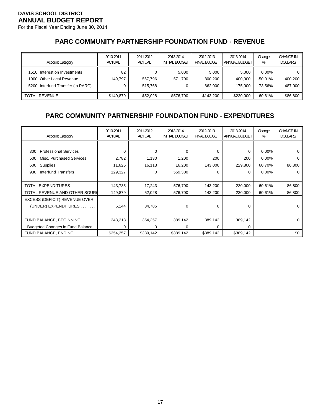For the Fiscal Year Ending June 30, 2014

#### **PARC COMMUNITY PARTNERSHIP FOUNDATION FUND - REVENUE**

| <b>Account Category</b>                                                                       | 2010-2011<br><b>ACTUAL</b> | 2011-2012<br><b>ACTUAL</b> | 2013-2014<br><b>INITIAL BUDGET</b> | 2012-2013<br><b>FINAL BUDGET</b> | 2013-2014<br>ANNUAL BUDGET     | Change<br>%                        | <b>CHANGE IN</b><br><b>DOLLARS</b> |
|-----------------------------------------------------------------------------------------------|----------------------------|----------------------------|------------------------------------|----------------------------------|--------------------------------|------------------------------------|------------------------------------|
| 1510 Interest on Investments<br>1900 Other Local Revenue<br>5200 Interfund Transfer (to PARC) | 82<br>149.797              | 567,796<br>$-515.768$      | 5.000<br>571.700                   | 5.000<br>800.200<br>$-662.000$   | 5.000<br>400.000<br>$-175.000$ | $0.00\%$<br>$-50.01%$<br>$-73.56%$ | $-400,200$<br>487,000              |
| II TOTAL REVENUE                                                                              | \$149,879                  | \$52,028                   | \$576,700                          | \$143.200                        | \$230,000                      | 60.61%                             | \$86,800                           |

#### **PARC COMMUNITY PARTNERSHIP FOUNDATION FUND - EXPENDITURES**

| <b>Account Category</b>                 | 2010-2011<br><b>ACTUAL</b> | 2011-2012<br><b>ACTUAL</b> | 2013-2014<br><b>INITIAL BUDGET</b> | 2012-2013<br><b>FINAL BUDGET</b> | 2013-2014<br>ANNUAL BUDGET | Change<br>% | <b>CHANGE IN</b><br><b>DOLLARS</b> |
|-----------------------------------------|----------------------------|----------------------------|------------------------------------|----------------------------------|----------------------------|-------------|------------------------------------|
|                                         |                            |                            |                                    |                                  |                            |             |                                    |
| <b>Professional Services</b><br>300     | $\Omega$                   | $\Omega$                   | 0                                  | $\Omega$                         | $\Omega$                   | $0.00\%$    |                                    |
| Misc. Purchased Services<br>500         | 2,782                      | 1,130                      | 1,200                              | 200                              | 200                        | $0.00\%$    |                                    |
| Supplies<br>600                         | 11,626                     | 16,113                     | 16,200                             | 143,000                          | 229,800                    | 60.70%      | 86,800                             |
| <b>Interfund Transfers</b><br>930       | 129,327                    | 0                          | 559,300                            | 0                                | $\Omega$                   | $0.00\%$    |                                    |
|                                         |                            |                            |                                    |                                  |                            |             |                                    |
| <b>TOTAL EXPENDITURES</b>               | 143,735                    | 17,243                     | 576,700                            | 143,200                          | 230,000                    | 60.61%      | 86,800                             |
| TOTAL REVENUE AND OTHER SOURC           | 149,879                    | 52,028                     | 576,700                            | 143,200                          | 230,000                    | 60.61%      | 86,800                             |
| EXCESS (DEFICIT) REVENUE OVER           |                            |                            |                                    |                                  |                            |             |                                    |
| (UNDER) EXPENDITURES                    | 6,144                      | 34,785                     | $\Omega$                           | 0                                | $\Omega$                   |             | O                                  |
|                                         |                            |                            |                                    |                                  |                            |             |                                    |
| FUND BALANCE, BEGINNING                 | 348,213                    | 354,357                    | 389,142                            | 389,142                          | 389,142                    |             |                                    |
| <b>Budgeted Changes in Fund Balance</b> | 0                          | 0                          | 0                                  | 0                                | 0                          |             |                                    |
| FUND BALANCE, ENDING                    | \$354,357                  | \$389,142                  | \$389,142                          | \$389,142                        | \$389,142                  |             | \$0                                |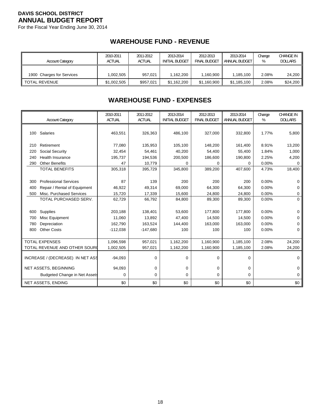For the Fiscal Year Ending June 30, 2014

### **WAREHOUSE FUND - REVENUE**

| <b>Account Category</b>   | 2010-2011<br><b>ACTUAL</b> | 2011-2012<br><b>ACTUAL</b> | 2013-2014<br><b>INITIAL BUDGET</b> | 2012-2013<br>FINAL BUDGET | 2013-2014<br>ANNUAL BUDGET | Change<br>% | <b>CHANGE IN</b><br><b>DOLLARS</b> |
|---------------------------|----------------------------|----------------------------|------------------------------------|---------------------------|----------------------------|-------------|------------------------------------|
| 1900 Charges for Services | 1,002,505                  | 957.021                    | 1.162.200                          | 1,160,900                 | 1,185,100                  | 2.08%       | 24,200                             |
| <b>TOTAL REVENUE</b>      | \$1,002,505                | \$957.021                  | \$1,162,200                        | \$1,160,900               | \$1,185,100                | 2.08%       | \$24,200                           |

#### **WAREHOUSE FUND - EXPENSES**

|     |                                      | 2010-2011     | 2011-2012     | 2013-2014             | 2012-2013           | 2013-2014            | Change | <b>CHANGE IN</b> |
|-----|--------------------------------------|---------------|---------------|-----------------------|---------------------|----------------------|--------|------------------|
|     | <b>Account Category</b>              | <b>ACTUAL</b> | <b>ACTUAL</b> | <b>INITIAL BUDGET</b> | <b>FINAL BUDGET</b> | <b>ANNUAL BUDGET</b> | %      | <b>DOLLARS</b>   |
|     |                                      |               |               |                       |                     |                      |        |                  |
|     | 100 Salaries                         | 463,551       | 326,363       | 486,100               | 327,000             | 332,800              | 1.77%  | 5,800            |
|     |                                      |               |               |                       |                     |                      |        |                  |
| 210 | Retirement                           | 77,080        | 135,953       | 105,100               | 148,200             | 161,400              | 8.91%  | 13,200           |
| 220 | Social Security                      | 32.454        | 54,461        | 40.200                | 54.400              | 55.400               | 1.84%  | 1,000            |
| 240 | <b>Health Insurance</b>              | 195,737       | 194,536       | 200,500               | 186,600             | 190,800              | 2.25%  | 4,200            |
| 290 | <b>Other Benefits</b>                | 47            | 10,779        | 0                     | 0                   | 0                    | 0.00%  | 0                |
|     | <b>TOTAL BENEFITS</b>                | 305,318       | 395,729       | 345,800               | 389,200             | 407,600              | 4.73%  | 18,400           |
|     |                                      |               |               |                       |                     |                      |        |                  |
| 300 | <b>Professional Services</b>         | 87            | 139           | 200                   | 200                 | 200                  | 0.00%  | $\Omega$         |
| 400 | Repair / Rental of Equipment         | 46,922        | 49,314        | 69,000                | 64,300              | 64,300               | 0.00%  | 0                |
| 500 | Misc. Purchased Services             | 15,720        | 17,339        | 15,600                | 24,800              | 24,800               | 0.00%  | 0                |
|     | TOTAL PURCHASED SERV.                | 62,729        | 66,792        | 84,800                | 89,300              | 89,300               | 0.00%  | $\mathbf 0$      |
|     |                                      |               |               |                       |                     |                      |        |                  |
| 600 | Supplies                             | 203,188       | 138,401       | 53,600                | 177,800             | 177,800              | 0.00%  | 0                |
| 700 | Misc Equipment                       | 11,060        | 13,892        | 47,400                | 14,500              | 14,500               | 0.00%  | 0                |
| 780 | Depreciation                         | 162,790       | 163,524       | 144,400               | 163,000             | 163,000              | 0.00%  | 0                |
| 800 | <b>Other Costs</b>                   | $-112,038$    | $-147,680$    | 100                   | 100                 | 100                  | 0.00%  | 0                |
|     |                                      |               |               |                       |                     |                      |        |                  |
|     | <b>TOTAL EXPENSES</b>                | 1,096,598     | 957,021       | 1,162,200             | 1,160,900           | 1,185,100            | 2.08%  | 24,200           |
|     | TOTAL REVENUE AND OTHER SOURC        | 1,002,505     | 957,021       | 1,162,200             | 1,160,900           | 1,185,100            | 2.08%  | 24,200           |
|     |                                      |               |               |                       |                     |                      |        |                  |
|     | INCREASE / (DECREASE) IN NET ASS     | $-94,093$     | 0             | 0                     | 0                   | 0                    |        | $\Omega$         |
|     | NET ASSETS, BEGINNING                | 94,093        | $\Omega$      | 0                     | 0                   | 0                    |        | $\Omega$         |
|     | <b>Budgeted Change in Net Assets</b> | $\mathbf 0$   | $\Omega$      | 0                     | 0                   | 0                    |        | 0                |
|     | NET ASSETS, ENDING                   | \$0           | \$0           | \$0                   | \$0                 | \$0                  |        | \$0              |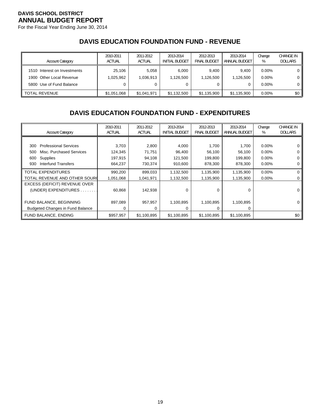For the Fiscal Year Ending June 30, 2014

### **DAVIS EDUCATION FOUNDATION FUND - REVENUE**

| <b>Account Category</b>                                                              | 2010-2011<br><b>ACTUAL</b> | 2011-2012<br><b>ACTUAL</b> | 2013-2014<br><b>INITIAL BUDGET</b> | 2012-2013<br><b>FINAL BUDGET</b> | 2013-2014<br>ANNUAL BUDGET | Change<br>%                      | <b>CHANGE IN</b><br><b>DOLLARS</b> |
|--------------------------------------------------------------------------------------|----------------------------|----------------------------|------------------------------------|----------------------------------|----------------------------|----------------------------------|------------------------------------|
| 1510 Interest on Investments<br>1900 Other Local Revenue<br>5800 Use of Fund Balance | 25.106<br>1,025,962        | 5.058<br>1,036,913         | 6.000<br>1,126,500                 | 9.400<br>1,126,500<br>0          | 9.400<br>1,126,500         | $0.00\%$<br>$0.00\%$<br>$0.00\%$ |                                    |
| <b>TOTAL REVENUE</b>                                                                 | \$1,051,068                | \$1,041,971                | \$1,132,500                        | \$1,135,900                      | \$1,135,900                | $0.00\%$                         | \$0                                |

#### **DAVIS EDUCATION FOUNDATION FUND - EXPENDITURES**

| <b>Account Category</b>                 | 2010-2011<br><b>ACTUAL</b> | 2011-2012<br><b>ACTUAL</b> | 2013-2014<br><b>INITIAL BUDGET</b> | 2012-2013<br><b>FINAL BUDGET</b> | 2013-2014<br>ANNUAL BUDGET | Change<br>% | <b>CHANGE IN</b><br><b>DOLLARS</b> |
|-----------------------------------------|----------------------------|----------------------------|------------------------------------|----------------------------------|----------------------------|-------------|------------------------------------|
|                                         |                            |                            |                                    |                                  |                            |             |                                    |
| <b>Professional Services</b><br>300     | 3,703                      | 2,800                      | 4,000                              | 1,700                            | 1,700                      | $0.00\%$    |                                    |
| Misc. Purchased Services<br>500         | 124,345                    | 71,751                     | 96,400                             | 56,100                           | 56,100                     | $0.00\%$    | 0                                  |
| Supplies<br>600                         | 197,915                    | 94,108                     | 121,500                            | 199,800                          | 199,800                    | $0.00\%$    |                                    |
| Interfund Transfers<br>930              | 664,237                    | 730,374                    | 910,600                            | 878,300                          | 878,300                    | $0.00\%$    | 0                                  |
| TOTAL EXPENDITURES                      | 990,200                    | 899,033                    | 1,132,500                          | 1,135,900                        | 1,135,900                  | $0.00\%$    | 0                                  |
| TOTAL REVENUE AND OTHER SOURC           | 1,051,068                  | 1,041,971                  | 1,132,500                          | 1,135,900                        | 1,135,900                  | $0.00\%$    | 0                                  |
| EXCESS (DEFICIT) REVENUE OVER           |                            |                            |                                    |                                  |                            |             |                                    |
| $(UNDER)$ EXPENDITURES                  | 60,868                     | 142,938                    | 0                                  | 0                                | 0                          |             | 0                                  |
|                                         |                            |                            |                                    |                                  |                            |             |                                    |
| FUND BALANCE, BEGINNING                 | 897,089                    | 957,957                    | 1,100,895                          | 1,100,895                        | 1,100,895                  |             | 0                                  |
| <b>Budgeted Changes in Fund Balance</b> |                            | n                          |                                    | 0                                | 0                          |             |                                    |
| FUND BALANCE, ENDING                    | \$957,957                  | \$1,100,895                | \$1,100,895                        | \$1,100,895                      | \$1,100,895                |             | \$0                                |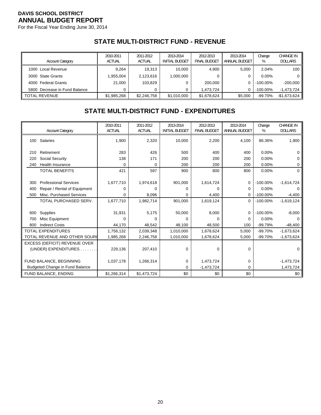For the Fiscal Year Ending June 30, 2014

# **STATE MULTI-DISTRICT FUND - REVENUE**

| <b>Account Category</b>       | 2010-2011<br><b>ACTUAL</b> | 2011-2012<br><b>ACTUAL</b> | 2013-2014<br><b>INITIAL BUDGET</b> | 2012-2013<br><b>FINAL BUDGET</b> | 2013-2014<br>ANNUAL BUDGET | Change<br>% | <b>CHANGE IN</b><br><b>DOLLARS</b> |
|-------------------------------|----------------------------|----------------------------|------------------------------------|----------------------------------|----------------------------|-------------|------------------------------------|
| 1000 Local Revenue            | 9,264                      | 19.313                     | 10.000                             | 4.900                            | 5.000                      | 2.04%       | $100$ $\blacksquare$               |
| 3000 State Grants             | 1.955.004                  | 2,123,616                  | 1,000,000                          | 0                                | 0                          | $0.00\%$    | 0 <sub>1</sub>                     |
| 4000 Federal Grants           | 21,000                     | 103,829                    |                                    | 200,000                          | 0                          | -100.00%    | $-200,000$                         |
| 5800 Decrease in Fund Balance |                            |                            |                                    | 1,473,724                        | 0                          | $-100.00\%$ | $-1,473,724$                       |
| <b>TOTAL REVENUE</b>          | \$1,985,268                | \$2,246,758                | \$1,010,000                        | \$1,678,624                      | \$5,000                    | -99.70%     | $-$1,673,624$                      |

### **STATE MULTI-DISTRICT FUND - EXPENDITURES**

|     | <b>Account Category</b>                | 2010-2011<br><b>ACTUAL</b> | 2011-2012<br><b>ACTUAL</b> | 2013-2014<br><b>INITIAL BUDGET</b> | 2012-2013<br><b>FINAL BUDGET</b> | 2013-2014<br>ANNUAL BUDGET | Change<br>% | <b>CHANGE IN</b><br><b>DOLLARS</b> |
|-----|----------------------------------------|----------------------------|----------------------------|------------------------------------|----------------------------------|----------------------------|-------------|------------------------------------|
|     | 100 Salaries                           | 1,900                      | 2,320                      | 10,000                             | 2,200                            | 4,100                      | 86.36%      | 1,900                              |
|     |                                        |                            |                            |                                    |                                  |                            |             |                                    |
| 210 | Retirement                             | 283                        | 426                        | 500                                | 400                              | 400                        | 0.00%       |                                    |
| 220 | Social Security                        | 138                        | 171                        | 200                                | 200                              | 200                        | 0.00%       | 0                                  |
| 240 | <b>Health Insurance</b>                | $\Omega$                   | $\Omega$                   | 200                                | 200                              | 200                        | 0.00%       | 0                                  |
|     | <b>TOTAL BENEFITS</b>                  | 421                        | 597                        | 900                                | 800                              | 800                        | 0.00%       | $\mathbf 0$                        |
|     |                                        |                            |                            |                                    |                                  |                            |             |                                    |
| 300 | <b>Professional Services</b>           | 1,677,710                  | 1,974,618                  | 901,000                            | 1,614,724                        | 0                          | $-100.00\%$ | $-1,614,724$                       |
| 400 | Repair / Rental of Equipment           | 0                          | 0                          | 0                                  | 0                                | 0                          | 0.00%       |                                    |
| 500 | Misc. Purchased Services               | 0                          | 8,096                      | 0                                  | 4,400                            | 0                          | $-100.00\%$ | $-4,400$                           |
|     | TOTAL PURCHASED SERV.                  | 1,677,710                  | 1,982,714                  | 901,000                            | 1,619,124                        | $\Omega$                   | $-100.00\%$ | $-1,619,124$                       |
|     |                                        |                            |                            |                                    |                                  |                            |             |                                    |
| 600 | Supplies                               | 31,931                     | 5,175                      | 50,000                             | 8,000                            | 0                          | $-100.00\%$ | $-8,000$                           |
| 700 | Misc Equipment                         | 0                          |                            |                                    | 0                                | $\Omega$                   | 0.00%       |                                    |
| 800 | <b>Indirect Costs</b>                  | 44,170                     | 48,542                     | 48,100                             | 48,500                           | 100                        | -99.79%     | $-48,400$                          |
|     | <b>TOTAL EXPENDITURES</b>              | 1,756,132                  | 2,039,348                  | 1,010,000                          | 1,678,624                        | 5,000                      | -99.70%     | $-1,673,624$                       |
|     | TOTAL REVENUE AND OTHER SOURO          | 1,985,268                  | 2,246,758                  | 1,010,000                          | 1,678,624                        | 5,000                      | -99.70%     | $-1,673,624$                       |
|     | EXCESS (DEFICIT) REVENUE OVER          |                            |                            |                                    |                                  |                            |             |                                    |
|     | (UNDER) EXPENDITURES.                  | 229,136                    | 207,410                    | 0                                  | 0                                | 0                          |             | 0                                  |
|     |                                        |                            |                            |                                    |                                  |                            |             |                                    |
|     | FUND BALANCE, BEGINNING                | 1,037,178                  | 1,266,314                  | 0                                  | 1,473,724                        | 0                          |             | $-1,473,724$                       |
|     | <b>Budgeted Change in Fund Balance</b> |                            |                            | 0                                  | $-1,473,724$                     | $\Omega$                   |             | 1,473,724                          |
|     | FUND BALANCE, ENDING                   | \$1,266,314                | \$1,473,724                | \$0                                | \$0                              | \$0                        |             | \$0                                |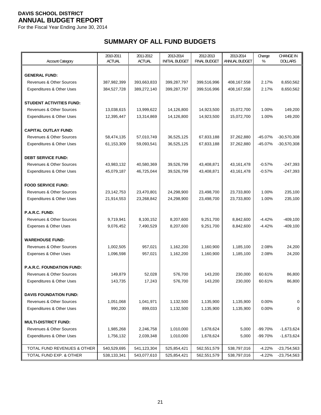For the Fiscal Year Ending June 30, 2014

# **SUMMARY OF ALL FUND BUDGETS**

| <b>Account Category</b>                                     | 2010-2011<br><b>ACTUAL</b> | 2011-2012<br><b>ACTUAL</b> | 2013-2014<br><b>INITIAL BUDGET</b> | 2012-2013<br><b>FINAL BUDGET</b> | 2013-2014<br><b>ANNUAL BUDGET</b> | Change<br>% | <b>CHANGE IN</b><br><b>DOLLARS</b> |
|-------------------------------------------------------------|----------------------------|----------------------------|------------------------------------|----------------------------------|-----------------------------------|-------------|------------------------------------|
|                                                             |                            |                            |                                    |                                  |                                   |             |                                    |
| <b>GENERAL FUND:</b><br><b>Revenues &amp; Other Sources</b> |                            |                            |                                    |                                  | 408,167,558                       | 2.17%       |                                    |
|                                                             | 387,982,399<br>384,527,728 | 393,663,833<br>389,272,140 | 399,287,797<br>399,287,797         | 399,516,996<br>399,516,996       | 408,167,558                       | 2.17%       | 8,650,562<br>8,650,562             |
| Expenditures & Other Uses                                   |                            |                            |                                    |                                  |                                   |             |                                    |
| <b>STUDENT ACTIVITIES FUND:</b>                             |                            |                            |                                    |                                  |                                   |             |                                    |
| <b>Revenues &amp; Other Sources</b>                         | 13,038,615                 | 13,999,622                 | 14,126,800                         | 14,923,500                       | 15,072,700                        | 1.00%       | 149,200                            |
| Expenditures & Other Uses                                   | 12,395,447                 | 13,314,869                 | 14,126,800                         | 14,923,500                       | 15,072,700                        | 1.00%       | 149,200                            |
|                                                             |                            |                            |                                    |                                  |                                   |             |                                    |
| <b>CAPITAL OUTLAY FUND:</b>                                 |                            |                            |                                    |                                  |                                   |             |                                    |
| <b>Revenues &amp; Other Sources</b>                         | 58,474,135                 | 57,010,749                 | 36,525,125                         | 67,833,188                       | 37,262,880                        | -45.07%     | $-30,570,308$                      |
| Expenditures & Other Uses                                   | 61,153,309                 | 59,093,541                 | 36,525,125                         | 67,833,188                       | 37,262,880                        | $-45.07%$   | $-30,570,308$                      |
|                                                             |                            |                            |                                    |                                  |                                   |             |                                    |
| <b>DEBT SERVICE FUND:</b>                                   |                            |                            |                                    |                                  |                                   |             |                                    |
| <b>Revenues &amp; Other Sources</b>                         | 43,983,132                 | 40,580,369                 | 39,526,799                         | 43,408,871                       | 43,161,478                        | $-0.57%$    | $-247,393$                         |
| Expenditures & Other Uses                                   | 45,079,187                 | 46,725,044                 | 39,526,799                         | 43,408,871                       | 43,161,478                        | $-0.57%$    | $-247,393$                         |
|                                                             |                            |                            |                                    |                                  |                                   |             |                                    |
| <b>FOOD SERVICE FUND:</b>                                   |                            |                            |                                    |                                  |                                   |             |                                    |
| <b>Revenues &amp; Other Sources</b>                         | 23,142,753                 | 23,470,801                 | 24,298,900                         | 23,498,700                       | 23,733,800                        | 1.00%       | 235,100                            |
| Expenditures & Other Uses                                   | 21,914,553                 | 23,268,842                 | 24,298,900                         | 23,498,700                       | 23,733,800                        | 1.00%       | 235,100                            |
| P.A.R.C. FUND:                                              |                            |                            |                                    |                                  |                                   |             |                                    |
| <b>Revenues &amp; Other Sources</b>                         | 9,719,941                  | 8,100,152                  | 8,207,600                          | 9,251,700                        | 8,842,600                         | $-4.42%$    | $-409,100$                         |
| Expenses & Other Uses                                       | 9,076,452                  | 7,490,529                  | 8,207,600                          | 9,251,700                        | 8,842,600                         | -4.42%      | $-409,100$                         |
|                                                             |                            |                            |                                    |                                  |                                   |             |                                    |
| <b>WAREHOUSE FUND:</b>                                      |                            |                            |                                    |                                  |                                   |             |                                    |
| <b>Revenues &amp; Other Sources</b>                         | 1,002,505                  | 957,021                    | 1,162,200                          | 1,160,900                        | 1,185,100                         | 2.08%       | 24,200                             |
| Expenses & Other Uses                                       | 1,096,598                  | 957,021                    | 1,162,200                          | 1,160,900                        | 1,185,100                         | 2.08%       | 24,200                             |
|                                                             |                            |                            |                                    |                                  |                                   |             |                                    |
| <b>P.A.R.C. FOUNDATION FUND:</b>                            |                            |                            |                                    |                                  |                                   |             |                                    |
| <b>Revenues &amp; Other Sources</b>                         | 149,879                    | 52,028                     | 576,700                            | 143,200                          | 230,000                           | 60.61%      | 86,800                             |
| Expenditures & Other Uses                                   | 143,735                    | 17,243                     | 576,700                            | 143,200                          | 230,000                           | 60.61%      | 86,800                             |
| <b>DAVIS FOUNDATION FUND:</b>                               |                            |                            |                                    |                                  |                                   |             |                                    |
| Revenues & Other Sources                                    | 1,051,068                  | 1,041,971                  | 1,132,500                          | 1,135,900                        | 1,135,900                         | 0.00%       | 0                                  |
| Expenditures & Other Uses                                   | 990,200                    | 899,033                    | 1,132,500                          | 1,135,900                        | 1,135,900                         | 0.00%       | $\Omega$                           |
|                                                             |                            |                            |                                    |                                  |                                   |             |                                    |
| <b>MULTI-DISTRICT FUND:</b>                                 |                            |                            |                                    |                                  |                                   |             |                                    |
| Revenues & Other Sources                                    | 1,985,268                  | 2,246,758                  | 1,010,000                          | 1,678,624                        | 5,000                             | -99.70%     | $-1,673,624$                       |
| Expenditures & Other Uses                                   | 1,756,132                  | 2,039,348                  | 1,010,000                          | 1,678,624                        | 5,000                             | -99.70%     | $-1,673,624$                       |
|                                                             |                            |                            |                                    |                                  |                                   |             |                                    |
| TOTAL FUND REVENUES & OTHER                                 | 540,529,695                | 541,123,304                | 525,854,421                        | 562,551,579                      | 538,797,016                       | $-4.22%$    | $-23,754,563$                      |
| TOTAL FUND EXP. & OTHER                                     | 538,133,341                | 543,077,610                | 525,854,421                        | 562,551,579                      | 538,797,016                       | $-4.22%$    | $-23,754,563$                      |